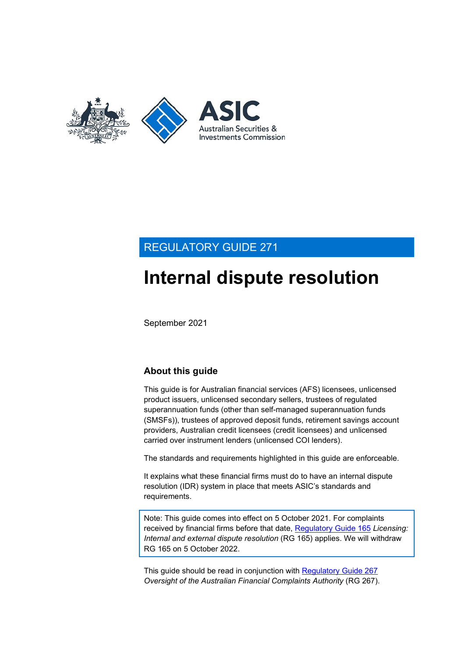

### REGULATORY GUIDE 271

# **Internal dispute resolution**

September 2021

### **About this guide**

This guide is for Australian financial services (AFS) licensees, unlicensed product issuers, unlicensed secondary sellers, trustees of regulated superannuation funds (other than self-managed superannuation funds (SMSFs)), trustees of approved deposit funds, retirement savings account providers, Australian credit licensees (credit licensees) and unlicensed carried over instrument lenders (unlicensed COI lenders).

The standards and requirements highlighted in this guide are enforceable.

It explains what these financial firms must do to have an internal dispute resolution (IDR) system in place that meets ASIC's standards and requirements.

Note: This guide comes into effect on 5 October 2021. For complaints received by financial firms before that date, [Regulatory Guide 165](https://asic.gov.au/regulatory-resources/find-a-document/regulatory-guides/rg-165-licensing-internal-and-external-dispute-resolution/) *Licensing: Internal and external dispute resolution* (RG 165) applies. We will withdraw RG 165 on 5 October 2022.

This guide should be read in conjunction with [Regulatory Guide 267](https://asic.gov.au/regulatory-resources/find-a-document/regulatory-guides/rg-267-oversight-of-the-australian-financial-complaints-authority/) *Oversight of the Australian Financial Complaints Authority* (RG 267).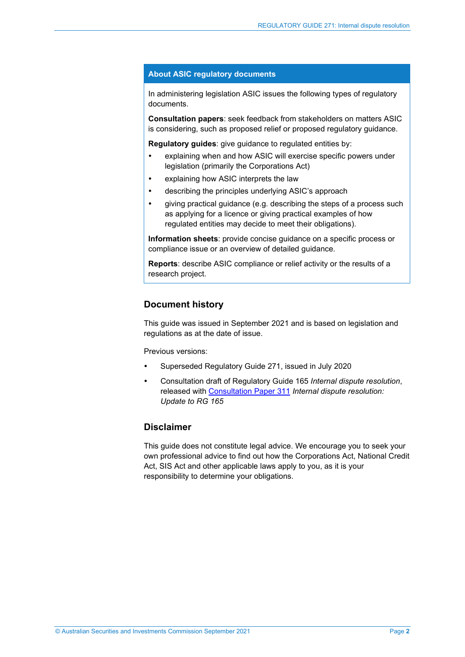#### **About ASIC regulatory documents**

In administering legislation ASIC issues the following types of regulatory documents.

**Consultation papers**: seek feedback from stakeholders on matters ASIC is considering, such as proposed relief or proposed regulatory guidance.

**Regulatory guides**: give guidance to regulated entities by:

- explaining when and how ASIC will exercise specific powers under legislation (primarily the Corporations Act)
- explaining how ASIC interprets the law
- describing the principles underlying ASIC's approach
- giving practical guidance (e.g. describing the steps of a process such as applying for a licence or giving practical examples of how regulated entities may decide to meet their obligations).

**Information sheets**: provide concise guidance on a specific process or compliance issue or an overview of detailed guidance.

**Reports**: describe ASIC compliance or relief activity or the results of a research project.

### **Document history**

This guide was issued in September 2021 and is based on legislation and regulations as at the date of issue.

Previous versions:

- Superseded Regulatory Guide 271, issued in July 2020
- Consultation draft of Regulatory Guide 165 *Internal dispute resolution*, released with [Consultation Paper 311](https://asic.gov.au/regulatory-resources/find-a-document/consultation-papers/cp-311-internal-dispute-resolution-update-to-rg-165/) *Internal dispute resolution: Update to RG 165*

### **Disclaimer**

This guide does not constitute legal advice. We encourage you to seek your own professional advice to find out how the Corporations Act, National Credit Act, SIS Act and other applicable laws apply to you, as it is your responsibility to determine your obligations.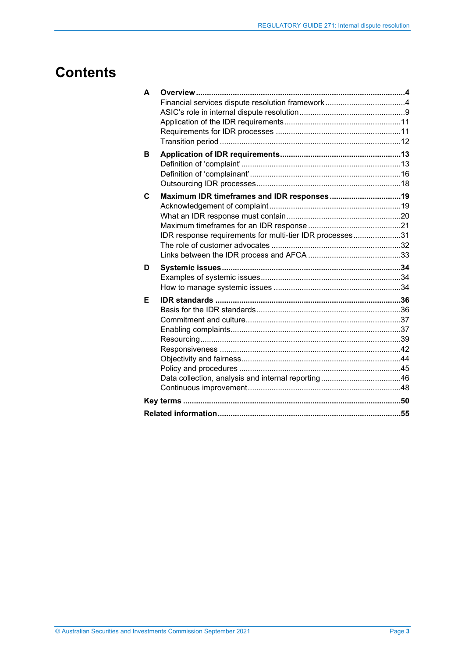# **Contents**

| A |                                                          |  |
|---|----------------------------------------------------------|--|
|   |                                                          |  |
|   |                                                          |  |
|   |                                                          |  |
|   |                                                          |  |
|   |                                                          |  |
| в |                                                          |  |
|   |                                                          |  |
|   |                                                          |  |
|   |                                                          |  |
| C | Maximum IDR timeframes and IDR responses19               |  |
|   |                                                          |  |
|   |                                                          |  |
|   |                                                          |  |
|   | IDR response requirements for multi-tier IDR processes31 |  |
|   |                                                          |  |
|   |                                                          |  |
| D |                                                          |  |
|   |                                                          |  |
|   |                                                          |  |
| Е |                                                          |  |
|   |                                                          |  |
|   |                                                          |  |
|   |                                                          |  |
|   |                                                          |  |
|   |                                                          |  |
|   |                                                          |  |
|   |                                                          |  |
|   |                                                          |  |
|   |                                                          |  |
|   |                                                          |  |
|   |                                                          |  |
|   |                                                          |  |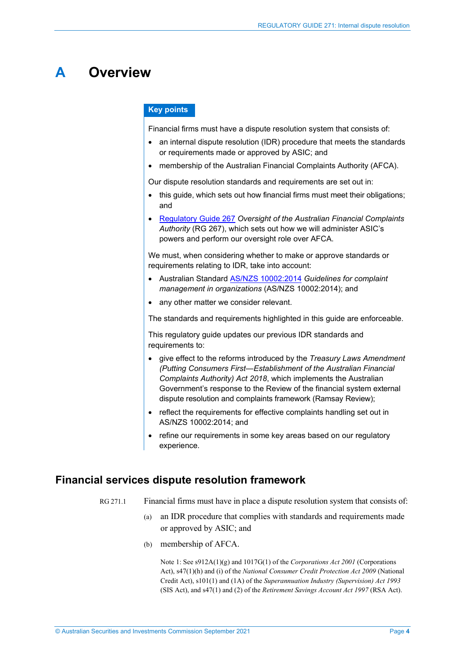## <span id="page-3-0"></span>**A Overview**

### **Key points**

Financial firms must have a dispute resolution system that consists of:

- an internal dispute resolution (IDR) procedure that meets the standards or requirements made or approved by ASIC; and
- membership of the Australian Financial Complaints Authority (AFCA).

Our dispute resolution standards and requirements are set out in:

- this quide, which sets out how financial firms must meet their obligations; and
- [Regulatory Guide](https://asic.gov.au/regulatory-resources/find-a-document/regulatory-guides/rg-267-oversight-of-the-australian-financial-complaints-authority/) 267 *Oversight of the Australian Financial Complaints Authority* (RG 267), which sets out how we will administer ASIC's powers and perform our oversight role over AFCA.

We must, when considering whether to make or approve standards or requirements relating to IDR, take into account:

- Australian Standard [AS/NZS 10002:2014](https://www.standards.org.au/standards-catalogue/sa-snz/publicsafety/qr-015/as-slash-nzs--10002-colon-2014) *Guidelines for complaint management in organizations* (AS/NZS 10002:2014); and
- any other matter we consider relevant.

The standards and requirements highlighted in this guide are enforceable.

This regulatory guide updates our previous IDR standards and requirements to:

- give effect to the reforms introduced by the *Treasury Laws Amendment (Putting Consumers First—Establishment of the Australian Financial Complaints Authority) Act 2018*, which implements the Australian Government's response to the Review of the financial system external dispute resolution and complaints framework (Ramsay Review);
- reflect the requirements for effective complaints handling set out in AS/NZS 10002:2014; and
- refine our requirements in some key areas based on our regulatory experience.

### <span id="page-3-1"></span>**Financial services dispute resolution framework**

- RG 271.1 Financial firms must have in place a dispute resolution system that consists of:
	- (a) an IDR procedure that complies with standards and requirements made or approved by ASIC; and
	- (b) membership of AFCA.

Note 1: See s912A(1)(g) and 1017G(1) of the *Corporations Act 2001* (Corporations Act), s47(1)(h) and (i) of the *National Consumer Credit Protection Act 2009* (National Credit Act), s101(1) and (1A) of the *Superannuation Industry (Supervision) Act 1993*  (SIS Act), and s47(1) and (2) of the *Retirement Savings Account Act 1997* (RSA Act).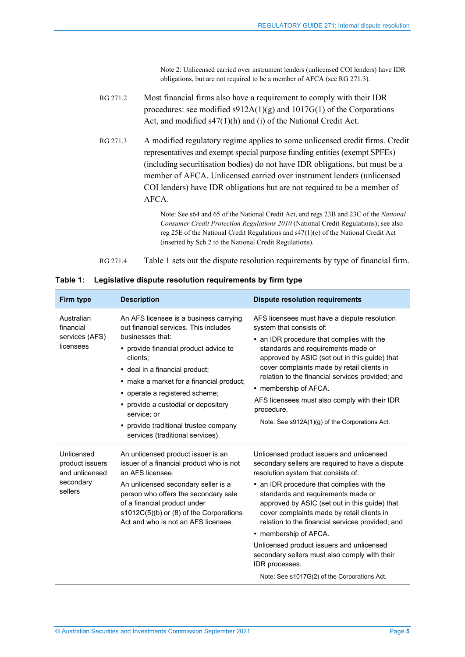Note 2: Unlicensed carried over instrument lenders (unlicensed COI lenders) have IDR obligations, but are not required to be a member of AFCA (see RG [271.3\)](#page-4-0).

- RG 271.2 Most financial firms also have a requirement to comply with their IDR procedures: see modified  $s912A(1)(g)$  and  $1017G(1)$  of the Corporations Act, and modified s47(1)(h) and (i) of the National Credit Act.
- <span id="page-4-0"></span>RG 271.3 A modified regulatory regime applies to some unlicensed credit firms. Credit representatives and exempt special purpose funding entities (exempt SPFEs) (including securitisation bodies) do not have IDR obligations, but must be a member of AFCA. Unlicensed carried over instrument lenders (unlicensed COI lenders) have IDR obligations but are not required to be a member of AFCA.

Note: See s64 and 65 of the National Credit Act, and regs 23B and 23C of the *National Consumer Credit Protection Regulations 2010* (National Credit Regulations); see also reg 25E of the National Credit Regulations and s47(1)(e) of the National Credit Act (inserted by Sch 2 to the National Credit Regulations).

RG 271.4 [Table 1](#page-4-1) sets out the dispute resolution requirements by type of financial firm.

| Firm type                                                               | <b>Description</b>                                                                                                                                                                                                                                                                                                                                                                                          | <b>Dispute resolution requirements</b>                                                                                                                                                                                                                                                                                                                                                                                                                                                                                                                              |
|-------------------------------------------------------------------------|-------------------------------------------------------------------------------------------------------------------------------------------------------------------------------------------------------------------------------------------------------------------------------------------------------------------------------------------------------------------------------------------------------------|---------------------------------------------------------------------------------------------------------------------------------------------------------------------------------------------------------------------------------------------------------------------------------------------------------------------------------------------------------------------------------------------------------------------------------------------------------------------------------------------------------------------------------------------------------------------|
| Australian<br>financial<br>services (AFS)<br>licensees                  | An AFS licensee is a business carrying<br>out financial services. This includes<br>businesses that:<br>• provide financial product advice to<br>clients:<br>• deal in a financial product;<br>• make a market for a financial product;<br>• operate a registered scheme;<br>• provide a custodial or depository<br>service; or<br>• provide traditional trustee company<br>services (traditional services). | AFS licensees must have a dispute resolution<br>system that consists of:<br>• an IDR procedure that complies with the<br>standards and requirements made or<br>approved by ASIC (set out in this guide) that<br>cover complaints made by retail clients in<br>relation to the financial services provided; and<br>• membership of AFCA.<br>AFS licensees must also comply with their IDR<br>procedure.<br>Note: See s912A(1)(g) of the Corporations Act.                                                                                                            |
| Unlicensed<br>product issuers<br>and unlicensed<br>secondary<br>sellers | An unlicensed product issuer is an<br>issuer of a financial product who is not<br>an AFS licensee.<br>An unlicensed secondary seller is a<br>person who offers the secondary sale<br>of a financial product under<br>s1012C(5)(b) or (8) of the Corporations<br>Act and who is not an AFS licensee.                                                                                                         | Unlicensed product issuers and unlicensed<br>secondary sellers are required to have a dispute<br>resolution system that consists of:<br>• an IDR procedure that complies with the<br>standards and requirements made or<br>approved by ASIC (set out in this guide) that<br>cover complaints made by retail clients in<br>relation to the financial services provided; and<br>• membership of AFCA.<br>Unlicensed product issuers and unlicensed<br>secondary sellers must also comply with their<br>IDR processes.<br>Note: See s1017G(2) of the Corporations Act. |

<span id="page-4-1"></span>**Table 1: Legislative dispute resolution requirements by firm type**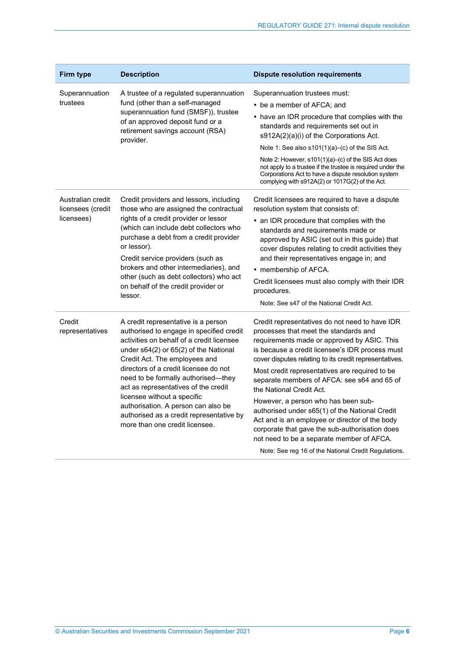| <b>Firm type</b>                                     | <b>Description</b>                                                                                                                                                                                                                                                                                                                                                                                                                                                                 | <b>Dispute resolution requirements</b>                                                                                                                                                                                                                                                                                                                                                                                                                                                                                                                                                                                                                                             |
|------------------------------------------------------|------------------------------------------------------------------------------------------------------------------------------------------------------------------------------------------------------------------------------------------------------------------------------------------------------------------------------------------------------------------------------------------------------------------------------------------------------------------------------------|------------------------------------------------------------------------------------------------------------------------------------------------------------------------------------------------------------------------------------------------------------------------------------------------------------------------------------------------------------------------------------------------------------------------------------------------------------------------------------------------------------------------------------------------------------------------------------------------------------------------------------------------------------------------------------|
| Superannuation<br>trustees                           | A trustee of a regulated superannuation<br>fund (other than a self-managed<br>superannuation fund (SMSF)), trustee<br>of an approved deposit fund or a<br>retirement savings account (RSA)<br>provider.                                                                                                                                                                                                                                                                            | Superannuation trustees must:<br>• be a member of AFCA; and<br>• have an IDR procedure that complies with the<br>standards and requirements set out in<br>s912A(2)(a)(i) of the Corporations Act.<br>Note 1: See also $s101(1)(a)$ –(c) of the SIS Act.<br>Note 2: However, $s101(1)(a)$ –(c) of the SIS Act does<br>not apply to a trustee if the trustee is required under the<br>Corporations Act to have a dispute resolution system<br>complying with s912A(2) or 1017G(2) of the Act.                                                                                                                                                                                        |
| Australian credit<br>licensees (credit<br>licensees) | Credit providers and lessors, including<br>those who are assigned the contractual<br>rights of a credit provider or lessor<br>(which can include debt collectors who<br>purchase a debt from a credit provider<br>or lessor).<br>Credit service providers (such as<br>brokers and other intermediaries), and<br>other (such as debt collectors) who act<br>on behalf of the credit provider or<br>lessor.                                                                          | Credit licensees are required to have a dispute<br>resolution system that consists of:<br>• an IDR procedure that complies with the<br>standards and requirements made or<br>approved by ASIC (set out in this guide) that<br>cover disputes relating to credit activities they<br>and their representatives engage in; and<br>• membership of AFCA.<br>Credit licensees must also comply with their IDR<br>procedures.<br>Note: See s47 of the National Credit Act.                                                                                                                                                                                                               |
| Credit<br>representatives                            | A credit representative is a person<br>authorised to engage in specified credit<br>activities on behalf of a credit licensee<br>under s64(2) or 65(2) of the National<br>Credit Act. The employees and<br>directors of a credit licensee do not<br>need to be formally authorised-they<br>act as representatives of the credit<br>licensee without a specific<br>authorisation. A person can also be<br>authorised as a credit representative by<br>more than one credit licensee. | Credit representatives do not need to have IDR<br>processes that meet the standards and<br>requirements made or approved by ASIC. This<br>is because a credit licensee's IDR process must<br>cover disputes relating to its credit representatives.<br>Most credit representatives are required to be<br>separate members of AFCA: see s64 and 65 of<br>the National Credit Act.<br>However, a person who has been sub-<br>authorised under s65(1) of the National Credit<br>Act and is an employee or director of the body<br>corporate that gave the sub-authorisation does<br>not need to be a separate member of AFCA.<br>Note: See reg 16 of the National Credit Regulations. |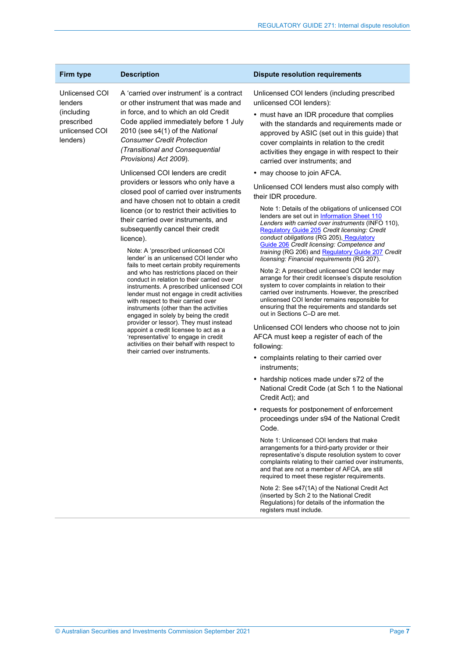| <b>Firm type</b>                                                                    | <b>Description</b>                                                                                                                                                                                                                                                                                                                                                                                                                                                                                                                                                                                                                                                                                                                                                                                                                                                                                                                                            | <b>Dispute resolution requirements</b>                                                                                                                                                                                                                                                                                                                                                                                                                                                                                                                                                                                                                                                                                                                                                                                                           |
|-------------------------------------------------------------------------------------|---------------------------------------------------------------------------------------------------------------------------------------------------------------------------------------------------------------------------------------------------------------------------------------------------------------------------------------------------------------------------------------------------------------------------------------------------------------------------------------------------------------------------------------------------------------------------------------------------------------------------------------------------------------------------------------------------------------------------------------------------------------------------------------------------------------------------------------------------------------------------------------------------------------------------------------------------------------|--------------------------------------------------------------------------------------------------------------------------------------------------------------------------------------------------------------------------------------------------------------------------------------------------------------------------------------------------------------------------------------------------------------------------------------------------------------------------------------------------------------------------------------------------------------------------------------------------------------------------------------------------------------------------------------------------------------------------------------------------------------------------------------------------------------------------------------------------|
| Unlicensed COI<br>lenders<br>(including<br>prescribed<br>unlicensed COI<br>lenders) | A 'carried over instrument' is a contract<br>or other instrument that was made and<br>in force, and to which an old Credit<br>Code applied immediately before 1 July<br>2010 (see s4(1) of the National<br><b>Consumer Credit Protection</b><br>(Transitional and Consequential<br>Provisions) Act 2009).                                                                                                                                                                                                                                                                                                                                                                                                                                                                                                                                                                                                                                                     | Unlicensed COI lenders (including prescribed<br>unlicensed COI lenders):<br>• must have an IDR procedure that complies<br>with the standards and requirements made or<br>approved by ASIC (set out in this guide) that<br>cover complaints in relation to the credit<br>activities they engage in with respect to their<br>carried over instruments; and                                                                                                                                                                                                                                                                                                                                                                                                                                                                                         |
|                                                                                     | Unlicensed COI lenders are credit<br>providers or lessors who only have a<br>closed pool of carried over instruments<br>and have chosen not to obtain a credit<br>licence (or to restrict their activities to<br>their carried over instruments, and<br>subsequently cancel their credit<br>licence).<br>Note: A 'prescribed unlicensed COI<br>lender' is an unlicensed COI lender who<br>fails to meet certain probity requirements<br>and who has restrictions placed on their<br>conduct in relation to their carried over<br>instruments. A prescribed unlicensed COI<br>lender must not engage in credit activities<br>with respect to their carried over<br>instruments (other than the activities<br>engaged in solely by being the credit<br>provider or lessor). They must instead<br>appoint a credit licensee to act as a<br>'representative' to engage in credit<br>activities on their behalf with respect to<br>their carried over instruments. | • may choose to join AFCA.                                                                                                                                                                                                                                                                                                                                                                                                                                                                                                                                                                                                                                                                                                                                                                                                                       |
|                                                                                     |                                                                                                                                                                                                                                                                                                                                                                                                                                                                                                                                                                                                                                                                                                                                                                                                                                                                                                                                                               | Unlicensed COI lenders must also comply with<br>their IDR procedure.<br>Note 1: Details of the obligations of unlicensed COI<br>lenders are set out in <b>Information Sheet 110</b><br>Lenders with carried over instruments (INFO 110),<br>Regulatory Guide 205 Credit licensing: Credit<br>conduct obligations (RG 205), Regulatory<br>Guide 206 Credit licensing: Competence and<br>training (RG 206) and Regulatory Guide 207 Credit<br>licensing: Financial requirements (RG 207).<br>Note 2: A prescribed unlicensed COI lender may<br>arrange for their credit licensee's dispute resolution<br>system to cover complaints in relation to their<br>carried over instruments. However, the prescribed<br>unlicensed COI lender remains responsible for<br>ensuring that the requirements and standards set<br>out in Sections C-D are met. |
|                                                                                     |                                                                                                                                                                                                                                                                                                                                                                                                                                                                                                                                                                                                                                                                                                                                                                                                                                                                                                                                                               | Unlicensed COI lenders who choose not to join<br>AFCA must keep a register of each of the<br>following:<br>• complaints relating to their carried over<br>instruments:                                                                                                                                                                                                                                                                                                                                                                                                                                                                                                                                                                                                                                                                           |
|                                                                                     |                                                                                                                                                                                                                                                                                                                                                                                                                                                                                                                                                                                                                                                                                                                                                                                                                                                                                                                                                               | • hardship notices made under s72 of the<br>National Credit Code (at Sch 1 to the National<br>Credit Act); and                                                                                                                                                                                                                                                                                                                                                                                                                                                                                                                                                                                                                                                                                                                                   |

• requests for postponement of enforcement proceedings under s94 of the National Credit Code.

Note 1: Unlicensed COI lenders that make arrangements for a third-party provider or their representative's dispute resolution system to cover complaints relating to their carried over instruments, and that are not a member of AFCA, are still required to meet these register requirements.

Note 2: See s47(1A) of the National Credit Act (inserted by Sch 2 to the National Credit Regulations) for details of the information the registers must include.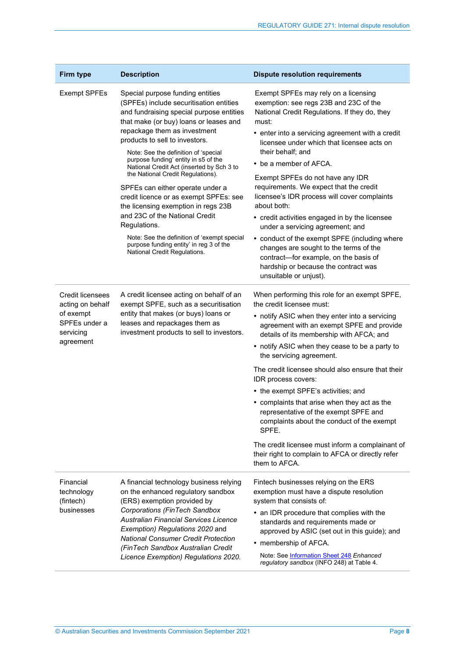| <b>Firm type</b>                                                                             | <b>Description</b>                                                                                                                                                                                                                                                                                                                                                                                                                                                                                                                                                                                                                                                                                     | <b>Dispute resolution requirements</b>                                                                                                                                                                                                                                                                                                                                                                                                                                                                                                                                                                                                                                                                                              |
|----------------------------------------------------------------------------------------------|--------------------------------------------------------------------------------------------------------------------------------------------------------------------------------------------------------------------------------------------------------------------------------------------------------------------------------------------------------------------------------------------------------------------------------------------------------------------------------------------------------------------------------------------------------------------------------------------------------------------------------------------------------------------------------------------------------|-------------------------------------------------------------------------------------------------------------------------------------------------------------------------------------------------------------------------------------------------------------------------------------------------------------------------------------------------------------------------------------------------------------------------------------------------------------------------------------------------------------------------------------------------------------------------------------------------------------------------------------------------------------------------------------------------------------------------------------|
| <b>Exempt SPFEs</b>                                                                          | Special purpose funding entities<br>(SPFEs) include securitisation entities<br>and fundraising special purpose entities<br>that make (or buy) loans or leases and<br>repackage them as investment<br>products to sell to investors.<br>Note: See the definition of 'special<br>purpose funding' entity in s5 of the<br>National Credit Act (inserted by Sch 3 to<br>the National Credit Regulations).<br>SPFEs can either operate under a<br>credit licence or as exempt SPFEs: see<br>the licensing exemption in regs 23B<br>and 23C of the National Credit<br>Regulations.<br>Note: See the definition of 'exempt special<br>purpose funding entity' in reg 3 of the<br>National Credit Regulations. | Exempt SPFEs may rely on a licensing<br>exemption: see regs 23B and 23C of the<br>National Credit Regulations. If they do, they<br>must:<br>• enter into a servicing agreement with a credit<br>licensee under which that licensee acts on<br>their behalf; and<br>• be a member of AFCA.<br>Exempt SPFEs do not have any IDR<br>requirements. We expect that the credit<br>licensee's IDR process will cover complaints<br>about both:<br>• credit activities engaged in by the licensee<br>under a servicing agreement; and<br>• conduct of the exempt SPFE (including where<br>changes are sought to the terms of the<br>contract-for example, on the basis of<br>hardship or because the contract was<br>unsuitable or unjust). |
| Credit licensees<br>acting on behalf<br>of exempt<br>SPFEs under a<br>servicing<br>agreement | A credit licensee acting on behalf of an<br>exempt SPFE, such as a securitisation<br>entity that makes (or buys) loans or<br>leases and repackages them as<br>investment products to sell to investors.                                                                                                                                                                                                                                                                                                                                                                                                                                                                                                | When performing this role for an exempt SPFE,<br>the credit licensee must:<br>• notify ASIC when they enter into a servicing<br>agreement with an exempt SPFE and provide<br>details of its membership with AFCA; and<br>• notify ASIC when they cease to be a party to<br>the servicing agreement.<br>The credit licensee should also ensure that their<br>IDR process covers:<br>• the exempt SPFE's activities; and<br>• complaints that arise when they act as the<br>representative of the exempt SPFE and<br>complaints about the conduct of the exempt<br>SPFE.<br>The credit licensee must inform a complainant of<br>their right to complain to AFCA or directly refer<br>them to AFCA.                                    |
| Financial<br>technology<br>(fintech)<br>businesses                                           | A financial technology business relying<br>on the enhanced regulatory sandbox<br>(ERS) exemption provided by<br>Corporations (FinTech Sandbox<br><b>Australian Financial Services Licence</b><br>Exemption) Regulations 2020 and<br><b>National Consumer Credit Protection</b><br>(FinTech Sandbox Australian Credit<br>Licence Exemption) Regulations 2020.                                                                                                                                                                                                                                                                                                                                           | Fintech businesses relying on the ERS<br>exemption must have a dispute resolution<br>system that consists of:<br>• an IDR procedure that complies with the<br>standards and requirements made or<br>approved by ASIC (set out in this guide); and<br>• membership of AFCA.<br>Note: See Information Sheet 248 Enhanced<br>regulatory sandbox (INFO 248) at Table 4.                                                                                                                                                                                                                                                                                                                                                                 |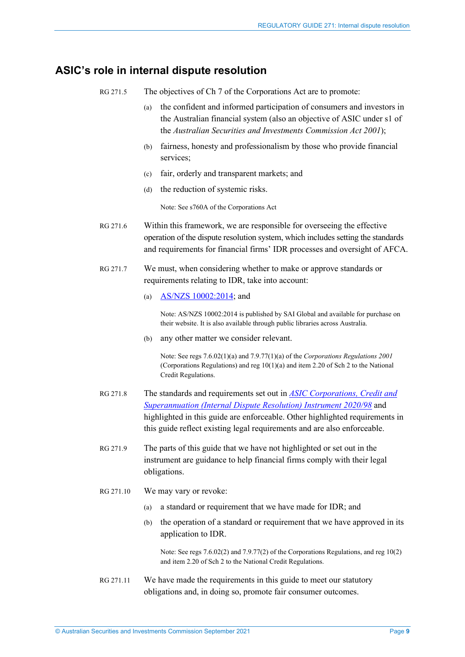### <span id="page-8-0"></span>**ASIC's role in internal dispute resolution**

- RG 271.5 The objectives of Ch 7 of the Corporations Act are to promote:
	- (a) the confident and informed participation of consumers and investors in the Australian financial system (also an objective of ASIC under s1 of the *Australian Securities and Investments Commission Act 2001*);
	- (b) fairness, honesty and professionalism by those who provide financial services;
	- (c) fair, orderly and transparent markets; and
	- (d) the reduction of systemic risks.

Note: See s760A of the Corporations Act

- RG 271.6 Within this framework, we are responsible for overseeing the effective operation of the dispute resolution system, which includes setting the standards and requirements for financial firms' IDR processes and oversight of AFCA.
- RG 271.7 We must, when considering whether to make or approve standards or requirements relating to IDR, take into account:
	- (a) [AS/NZS 10002:2014;](https://www.standards.org.au/standards-catalogue/sa-snz/publicsafety/qr-015/as-slash-nzs--10002-colon-2014) and

Note: AS/NZS 10002:2014 is published by SAI Global and available for purchase on their website. It is also available through public libraries across Australia.

(b) any other matter we consider relevant.

Note: See regs 7.6.02(1)(a) and 7.9.77(1)(a) of the *Corporations Regulations 2001* (Corporations Regulations) and reg 10(1)(a) and item 2.20 of Sch 2 to the National Credit Regulations.

- RG 271.8 The standards and requirements set out in *[ASIC Corporations, Credit and](https://www.legislation.gov.au/current/F2020L00962)  [Superannuation \(Internal Dispute Resolution\) Instrument 2020/98](https://www.legislation.gov.au/current/F2020L00962)* and highlighted in this guide are enforceable. Other highlighted requirements in this guide reflect existing legal requirements and are also enforceable.
- RG 271.9 The parts of this guide that we have not highlighted or set out in the instrument are guidance to help financial firms comply with their legal obligations.
- RG 271.10 We may vary or revoke:
	- (a) a standard or requirement that we have made for IDR; and
	- (b) the operation of a standard or requirement that we have approved in its application to IDR.

Note: See regs 7.6.02(2) and 7.9.77(2) of the Corporations Regulations, and reg 10(2) and item 2.20 of Sch 2 to the National Credit Regulations.

RG 271.11 We have made the requirements in this guide to meet our statutory obligations and, in doing so, promote fair consumer outcomes.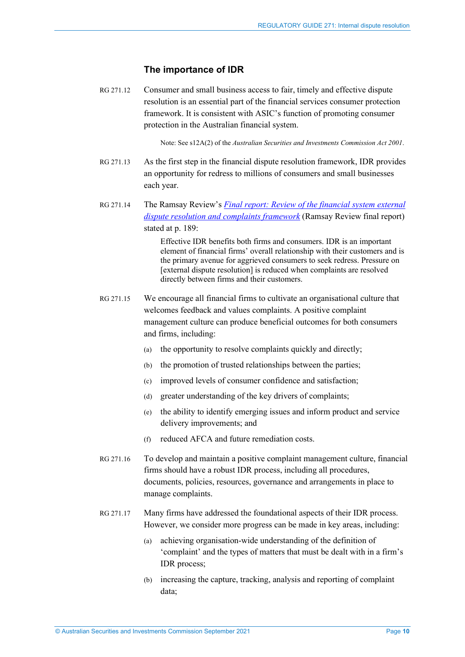### **The importance of IDR**

RG 271.12 Consumer and small business access to fair, timely and effective dispute resolution is an essential part of the financial services consumer protection framework. It is consistent with ASIC's function of promoting consumer protection in the Australian financial system.

Note: See s12A(2) of the *Australian Securities and Investments Commission Act 2001*.

- RG 271.13 As the first step in the financial dispute resolution framework, IDR provides an opportunity for redress to millions of consumers and small businesses each year.
- RG 271.14 The Ramsay Review's *Final report: [Review of the financial system external](https://treasury.gov.au/publication/edr-review-final-report/)  [dispute resolution and complaints framework](https://treasury.gov.au/publication/edr-review-final-report/)* (Ramsay Review final report) stated at p. 189:

Effective IDR benefits both firms and consumers. IDR is an important element of financial firms' overall relationship with their customers and is the primary avenue for aggrieved consumers to seek redress. Pressure on [external dispute resolution] is reduced when complaints are resolved directly between firms and their customers.

- RG 271.15 We encourage all financial firms to cultivate an organisational culture that welcomes feedback and values complaints. A positive complaint management culture can produce beneficial outcomes for both consumers and firms, including:
	- (a) the opportunity to resolve complaints quickly and directly;
	- (b) the promotion of trusted relationships between the parties;
	- (c) improved levels of consumer confidence and satisfaction;
	- (d) greater understanding of the key drivers of complaints;
	- (e) the ability to identify emerging issues and inform product and service delivery improvements; and
	- (f) reduced AFCA and future remediation costs.
- RG 271.16 To develop and maintain a positive complaint management culture, financial firms should have a robust IDR process, including all procedures, documents, policies, resources, governance and arrangements in place to manage complaints.
- RG 271.17 Many firms have addressed the foundational aspects of their IDR process. However, we consider more progress can be made in key areas, including:
	- (a) achieving organisation-wide understanding of the definition of 'complaint' and the types of matters that must be dealt with in a firm's IDR process;
	- (b) increasing the capture, tracking, analysis and reporting of complaint data;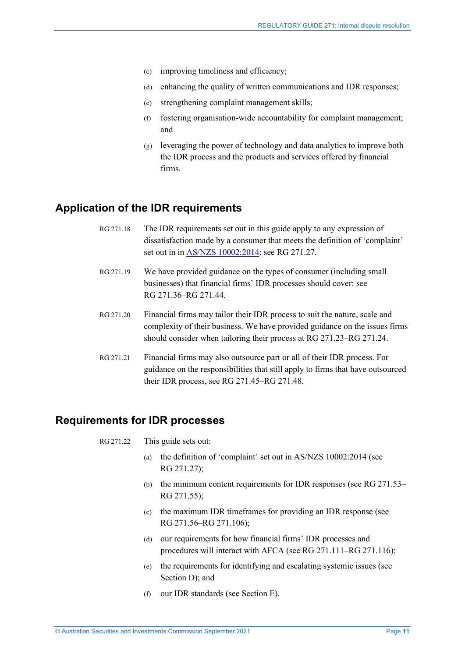- (c) improving timeliness and efficiency;
- (d) enhancing the quality of written communications and IDR responses;
- (e) strengthening complaint management skills;
- (f) fostering organisation-wide accountability for complaint management; and
- (g) leveraging the power of technology and data analytics to improve both the IDR process and the products and services offered by financial firms.

### <span id="page-10-0"></span>**Application of the IDR requirements**

- RG 271.18 The IDR requirements set out in this guide apply to any expression of dissatisfaction made by a consumer that meets the definition of 'complaint' set out in i[n AS/NZS 10002:2014:](https://www.standards.org.au/standards-catalogue/sa-snz/publicsafety/qr-015/as-slash-nzs--10002-colon-2014) see RG [271.27.](#page-12-2)
- RG 271.19 We have provided guidance on the types of consumer (including small businesses) that financial firms' IDR processes should cover: see RG [271.36–](#page-15-1)RG [271.44.](#page-17-1)
- RG 271.20 Financial firms may tailor their IDR process to suit the nature, scale and complexity of their business. We have provided guidance on the issues firms should consider when tailoring their process at RG [271.23–](#page-11-1)RG [271.24.](#page-11-2)
- RG 271.21 Financial firms may also outsource part or all of their IDR process. For guidance on the responsibilities that still apply to firms that have outsourced their IDR process, see RG [271.45–](#page-17-2)RG [271.48.](#page-17-3)

### <span id="page-10-1"></span>**Requirements for IDR processes**

- RG 271.22 This guide sets out:
	- (a) the definition of 'complaint' set out in AS/NZS 10002:2014 (see RG [271.27\)](#page-12-2);
	- (b) the minimum content requirements for IDR responses (see RG [271.53–](#page-19-1) RG [271.55\)](#page-19-2);
	- (c) the maximum IDR timeframes for providing an IDR response (see RG [271.56–](#page-20-1)RG [271.106\)](#page-31-1);
	- (d) our requirements for how financial firms' IDR processes and procedures will interact with AFCA (see RG [271.111–](#page-32-1)RG [271.116\)](#page-32-2);
	- (e) the requirements for identifying and escalating systemic issues (see Section [D\)](#page-33-0); and
	- (f) our IDR standards (see Section [E\)](#page-35-0).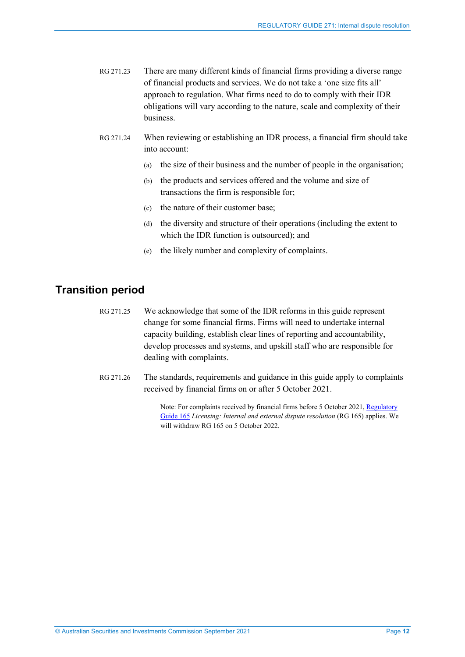- <span id="page-11-1"></span>RG 271.23 There are many different kinds of financial firms providing a diverse range of financial products and services. We do not take a 'one size fits all' approach to regulation. What firms need to do to comply with their IDR obligations will vary according to the nature, scale and complexity of their business.
- <span id="page-11-2"></span>RG 271.24 When reviewing or establishing an IDR process, a financial firm should take into account:
	- (a) the size of their business and the number of people in the organisation;
	- (b) the products and services offered and the volume and size of transactions the firm is responsible for;
	- (c) the nature of their customer base;
	- (d) the diversity and structure of their operations (including the extent to which the IDR function is outsourced); and
	- (e) the likely number and complexity of complaints.

### <span id="page-11-0"></span>**Transition period**

- RG 271.25 We acknowledge that some of the IDR reforms in this guide represent change for some financial firms. Firms will need to undertake internal capacity building, establish clear lines of reporting and accountability, develop processes and systems, and upskill staff who are responsible for dealing with complaints.
- RG 271.26 The standards, requirements and guidance in this guide apply to complaints received by financial firms on or after 5 October 2021.

Note: For complaints received by financial firms before 5 October 2021, [Regulatory](https://asic.gov.au/regulatory-resources/find-a-document/regulatory-guides/rg-165-licensing-internal-and-external-dispute-resolution/)  [Guide](https://asic.gov.au/regulatory-resources/find-a-document/regulatory-guides/rg-165-licensing-internal-and-external-dispute-resolution/) 165 *Licensing: Internal and external dispute resolution* (RG 165) applies. We will withdraw RG 165 on 5 October 2022.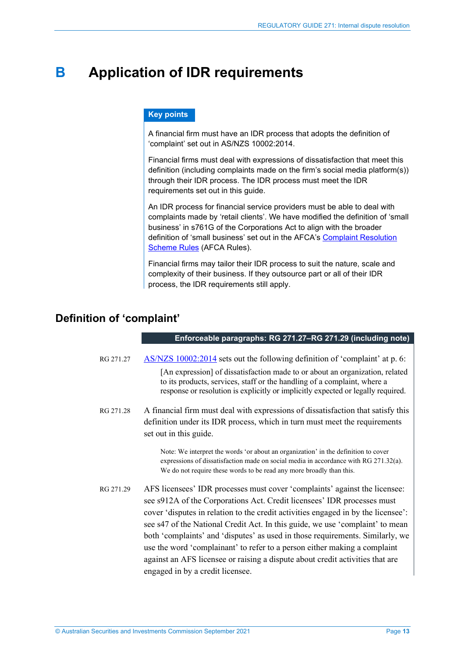## <span id="page-12-0"></span>**B Application of IDR requirements**

### **Key points**

A financial firm must have an IDR process that adopts the definition of 'complaint' set out in AS/NZS 10002:2014.

Financial firms must deal with expressions of dissatisfaction that meet this definition (including complaints made on the firm's social media platform(s)) through their IDR process. The IDR process must meet the IDR requirements set out in this guide.

An IDR process for financial service providers must be able to deal with complaints made by 'retail clients'. We have modified the definition of 'small business' in s761G of the Corporations Act to align with the broader definition of 'small business' set out in the AFCA's [Complaint Resolution](https://www.afca.org.au/about-afca/rules-and-guidelines/rules/)  [Scheme Rules](https://www.afca.org.au/about-afca/rules-and-guidelines/rules/) (AFCA Rules).

Financial firms may tailor their IDR process to suit the nature, scale and complexity of their business. If they outsource part or all of their IDR process, the IDR requirements still apply.

### <span id="page-12-2"></span><span id="page-12-1"></span>**Definition of 'complaint'**

#### **Enforceable paragraphs: RG [271.27–](#page-12-2)RG [271.29](#page-12-3) (including note)**

- RG 271.27 [AS/NZS 10002:2014](https://www.standards.org.au/standards-catalogue/sa-snz/publicsafety/qr-015/as-slash-nzs--10002-colon-2014) sets out the following definition of 'complaint' at p. 6: [An expression] of dissatisfaction made to or about an organization, related to its products, services, staff or the handling of a complaint, where a response or resolution is explicitly or implicitly expected or legally required.
- RG 271.28 A financial firm must deal with expressions of dissatisfaction that satisfy this definition under its IDR process, which in turn must meet the requirements set out in this guide.

Note: We interpret the words 'or about an organization' in the definition to cover expressions of dissatisfaction made on social media in accordance with RG [271.32\(a\).](#page-13-0) We do not require these words to be read any more broadly than this.

<span id="page-12-3"></span>RG 271.29 AFS licensees' IDR processes must cover 'complaints' against the licensee: see s912A of the Corporations Act. Credit licensees' IDR processes must cover 'disputes in relation to the credit activities engaged in by the licensee': see s47 of the National Credit Act. In this guide, we use 'complaint' to mean both 'complaints' and 'disputes' as used in those requirements. Similarly, we use the word 'complainant' to refer to a person either making a complaint against an AFS licensee or raising a dispute about credit activities that are engaged in by a credit licensee.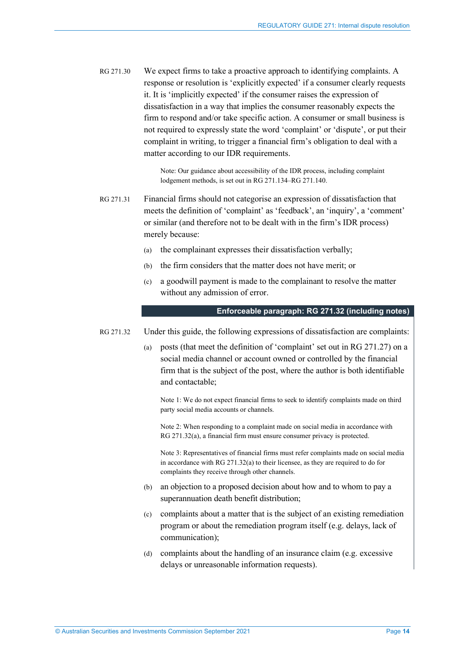RG 271.30 We expect firms to take a proactive approach to identifying complaints. A response or resolution is 'explicitly expected' if a consumer clearly requests it. It is 'implicitly expected' if the consumer raises the expression of dissatisfaction in a way that implies the consumer reasonably expects the firm to respond and/or take specific action. A consumer or small business is not required to expressly state the word 'complaint' or 'dispute', or put their complaint in writing, to trigger a financial firm's obligation to deal with a matter according to our IDR requirements.

> Note: Our guidance about accessibility of the IDR process, including complaint lodgement methods, is set out in RG [271.134–](#page-37-0)RG [271.140.](#page-38-1)

- RG 271.31 Financial firms should not categorise an expression of dissatisfaction that meets the definition of 'complaint' as 'feedback', an 'inquiry', a 'comment' or similar (and therefore not to be dealt with in the firm's IDR process) merely because:
	- (a) the complainant expresses their dissatisfaction verbally;
	- (b) the firm considers that the matter does not have merit; or
	- (c) a goodwill payment is made to the complainant to resolve the matter without any admission of error.

#### **Enforceable paragraph: RG [271.32](#page-13-1) (including notes)**

<span id="page-13-1"></span><span id="page-13-0"></span>RG 271.32 Under this guide, the following expressions of dissatisfaction are complaints:

(a) posts (that meet the definition of 'complaint' set out in RG [271.27\)](#page-12-2) on a social media channel or account owned or controlled by the financial firm that is the subject of the post, where the author is both identifiable and contactable;

Note 1: We do not expect financial firms to seek to identify complaints made on third party social media accounts or channels.

Note 2: When responding to a complaint made on social media in accordance with RG [271.32](#page-13-1)[\(a\),](#page-13-0) a financial firm must ensure consumer privacy is protected.

Note 3: Representatives of financial firms must refer complaints made on social media in accordance with RG [271.32](#page-13-1)[\(a\)](#page-13-0) to their licensee, as they are required to do for complaints they receive through other channels.

- (b) an objection to a proposed decision about how and to whom to pay a superannuation death benefit distribution;
- (c) complaints about a matter that is the subject of an existing remediation program or about the remediation program itself (e.g. delays, lack of communication);
- (d) complaints about the handling of an insurance claim (e.g. excessive delays or unreasonable information requests).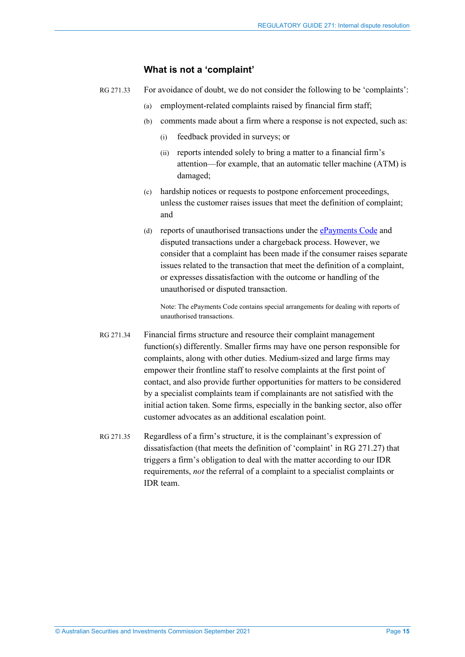### **What is not a 'complaint'**

- RG 271.33 For avoidance of doubt, we do not consider the following to be 'complaints':
	- (a) employment-related complaints raised by financial firm staff;
	- (b) comments made about a firm where a response is not expected, such as:
		- (i) feedback provided in surveys; or
		- (ii) reports intended solely to bring a matter to a financial firm's attention—for example, that an automatic teller machine (ATM) is damaged;
	- (c) hardship notices or requests to postpone enforcement proceedings, unless the customer raises issues that meet the definition of complaint; and
	- (d) reports of unauthorised transactions under th[e ePayments Code](https://asic.gov.au/regulatory-resources/financial-services/epayments-code/#download) and disputed transactions under a chargeback process. However, we consider that a complaint has been made if the consumer raises separate issues related to the transaction that meet the definition of a complaint, or expresses dissatisfaction with the outcome or handling of the unauthorised or disputed transaction.

Note: The ePayments Code contains special arrangements for dealing with reports of unauthorised transactions.

- RG 271.34 Financial firms structure and resource their complaint management function(s) differently. Smaller firms may have one person responsible for complaints, along with other duties. Medium-sized and large firms may empower their frontline staff to resolve complaints at the first point of contact, and also provide further opportunities for matters to be considered by a specialist complaints team if complainants are not satisfied with the initial action taken. Some firms, especially in the banking sector, also offer customer advocates as an additional escalation point.
- RG 271.35 Regardless of a firm's structure, it is the complainant's expression of dissatisfaction (that meets the definition of 'complaint' in RG [271.27\)](#page-12-2) that triggers a firm's obligation to deal with the matter according to our IDR requirements, *not* the referral of a complaint to a specialist complaints or IDR team.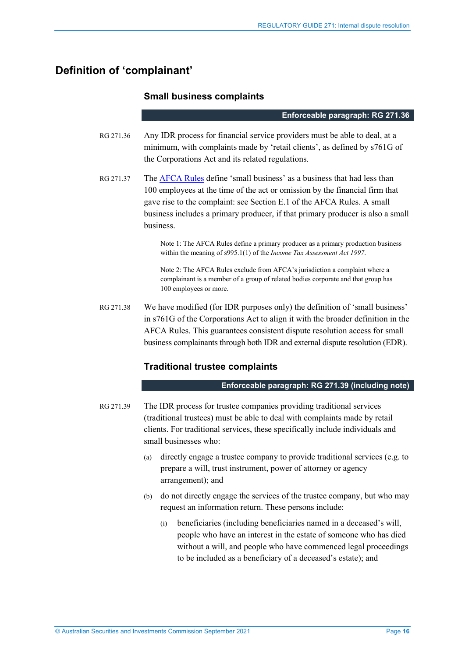### <span id="page-15-0"></span>**Definition of 'complainant'**

### **Small business complaints**

**Enforceable paragraph: RG [271.36](#page-15-1)**

- <span id="page-15-1"></span>RG 271.36 Any IDR process for financial service providers must be able to deal, at a minimum, with complaints made by 'retail clients', as defined by s761G of the Corporations Act and its related regulations.
- RG 271.37 The [AFCA Rules](https://www.afca.org.au/about-afca/rules-and-guidelines/rules/) define 'small business' as a business that had less than 100 employees at the time of the act or omission by the financial firm that gave rise to the complaint: see Section E.1 of the AFCA Rules. A small business includes a primary producer, if that primary producer is also a small business.

Note 1: The AFCA Rules define a primary producer as a primary production business within the meaning of s995.1(1) of the *Income Tax Assessment Act 1997*.

Note 2: The AFCA Rules exclude from AFCA's jurisdiction a complaint where a complainant is a member of a group of related bodies corporate and that group has 100 employees or more.

RG 271.38 We have modified (for IDR purposes only) the definition of 'small business' in s761G of the Corporations Act to align it with the broader definition in the AFCA Rules. This guarantees consistent dispute resolution access for small business complainants through both IDR and external dispute resolution (EDR).

### **Traditional trustee complaints**

#### **Enforceable paragraph: RG [271.39](#page-15-2) (including note)**

- <span id="page-15-2"></span>RG 271.39 The IDR process for trustee companies providing traditional services (traditional trustees) must be able to deal with complaints made by retail clients. For traditional services, these specifically include individuals and small businesses who:
	- (a) directly engage a trustee company to provide traditional services (e.g. to prepare a will, trust instrument, power of attorney or agency arrangement); and
	- (b) do not directly engage the services of the trustee company, but who may request an information return. These persons include:
		- (i) beneficiaries (including beneficiaries named in a deceased's will, people who have an interest in the estate of someone who has died without a will, and people who have commenced legal proceedings to be included as a beneficiary of a deceased's estate); and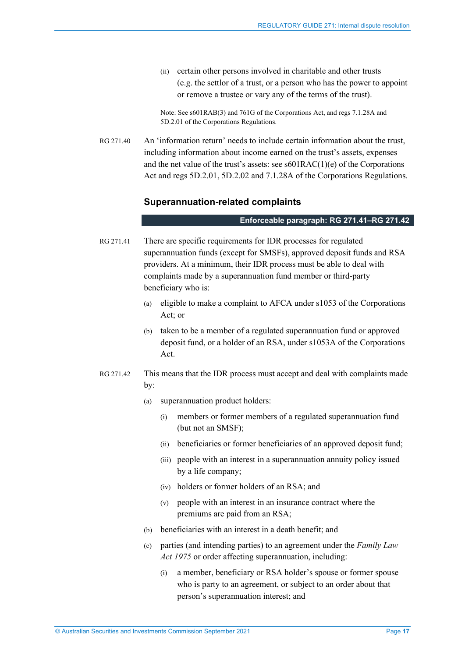(ii) certain other persons involved in charitable and other trusts (e.g. the settlor of a trust, or a person who has the power to appoint or remove a trustee or vary any of the terms of the trust).

Note: See s601RAB(3) and 761G of the Corporations Act, and regs 7.1.28A and 5D.2.01 of the Corporations Regulations.

RG 271.40 An 'information return' needs to include certain information about the trust, including information about income earned on the trust's assets, expenses and the net value of the trust's assets: see s601RAC(1)(e) of the Corporations Act and regs 5D.2.01, 5D.2.02 and 7.1.28A of the Corporations Regulations.

### **Superannuation-related complaints**

#### **Enforceable paragraph: RG [271.41–](#page-16-0)RG [271.42](#page-16-1)**

- <span id="page-16-0"></span>RG 271.41 There are specific requirements for IDR processes for regulated superannuation funds (except for SMSFs), approved deposit funds and RSA providers. At a minimum, their IDR process must be able to deal with complaints made by a superannuation fund member or third-party beneficiary who is:
	- (a) eligible to make a complaint to AFCA under s1053 of the Corporations Act; or
	- (b) taken to be a member of a regulated superannuation fund or approved deposit fund, or a holder of an RSA, under s1053A of the Corporations Act.

### <span id="page-16-1"></span>RG 271.42 This means that the IDR process must accept and deal with complaints made by:

- (a) superannuation product holders:
	- (i) members or former members of a regulated superannuation fund (but not an SMSF);
	- (ii) beneficiaries or former beneficiaries of an approved deposit fund;
	- (iii) people with an interest in a superannuation annuity policy issued by a life company;
	- (iv) holders or former holders of an RSA; and
	- (v) people with an interest in an insurance contract where the premiums are paid from an RSA;
- (b) beneficiaries with an interest in a death benefit; and
- (c) parties (and intending parties) to an agreement under the *Family Law Act 1975* or order affecting superannuation, including:
	- (i) a member, beneficiary or RSA holder's spouse or former spouse who is party to an agreement, or subject to an order about that person's superannuation interest; and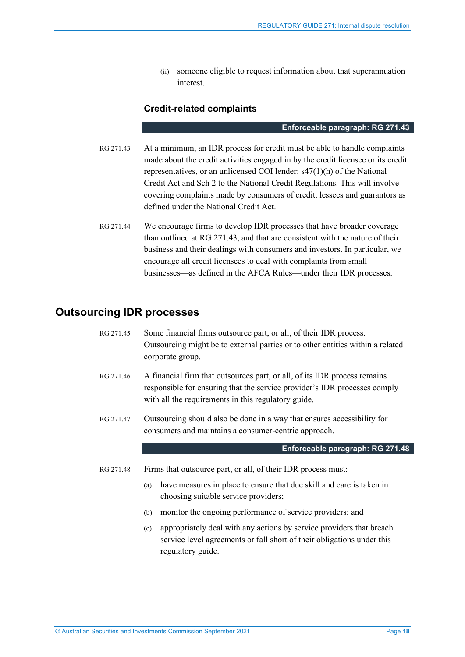(ii) someone eligible to request information about that superannuation interest.

### **Credit-related complaints**

#### **Enforceable paragraph: RG [271.43](#page-17-4)**

- <span id="page-17-4"></span>RG 271.43 At a minimum, an IDR process for credit must be able to handle complaints made about the credit activities engaged in by the credit licensee or its credit representatives, or an unlicensed COI lender: s47(1)(h) of the National Credit Act and Sch 2 to the National Credit Regulations. This will involve covering complaints made by consumers of credit, lessees and guarantors as defined under the National Credit Act.
- <span id="page-17-1"></span>RG 271.44 We encourage firms to develop IDR processes that have broader coverage than outlined at RG [271.43,](#page-17-4) and that are consistent with the nature of their business and their dealings with consumers and investors. In particular, we encourage all credit licensees to deal with complaints from small businesses—as defined in the AFCA Rules—under their IDR processes.

### <span id="page-17-2"></span><span id="page-17-0"></span>**Outsourcing IDR processes**

- RG 271.45 Some financial firms outsource part, or all, of their IDR process. Outsourcing might be to external parties or to other entities within a related corporate group.
- RG 271.46 A financial firm that outsources part, or all, of its IDR process remains responsible for ensuring that the service provider's IDR processes comply with all the requirements in this regulatory guide.
- RG 271.47 Outsourcing should also be done in a way that ensures accessibility for consumers and maintains a consumer-centric approach.

#### **Enforceable paragraph: RG [271.48](#page-17-3)**

- <span id="page-17-3"></span>RG 271.48 Firms that outsource part, or all, of their IDR process must:
	- (a) have measures in place to ensure that due skill and care is taken in choosing suitable service providers;
	- (b) monitor the ongoing performance of service providers; and
	- (c) appropriately deal with any actions by service providers that breach service level agreements or fall short of their obligations under this regulatory guide.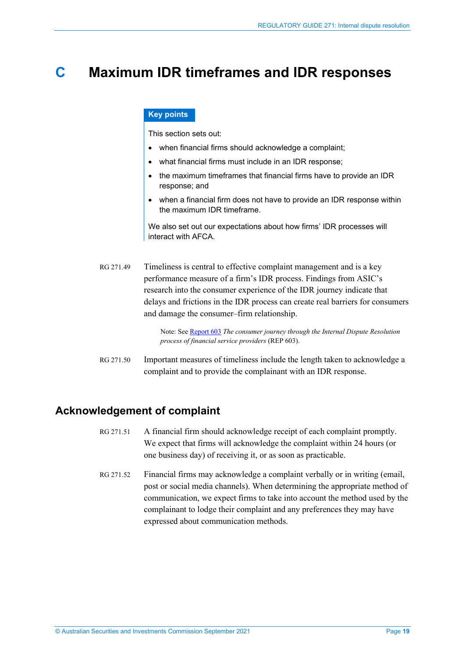# <span id="page-18-0"></span>**C Maximum IDR timeframes and IDR responses**

### **Key points**

This section sets out:

- when financial firms should acknowledge a complaint;
- what financial firms must include in an IDR response;
- the maximum timeframes that financial firms have to provide an IDR response; and
- when a financial firm does not have to provide an IDR response within the maximum IDR timeframe.

We also set out our expectations about how firms' IDR processes will interact with AFCA.

RG 271.49 Timeliness is central to effective complaint management and is a key performance measure of a firm's IDR process. Findings from ASIC's research into the consumer experience of the IDR journey indicate that delays and frictions in the IDR process can create real barriers for consumers and damage the consumer–firm relationship.

> Note: See [Report 603](https://asic.gov.au/regulatory-resources/find-a-document/reports/rep-603-the-consumer-journey-through-the-internal-dispute-resolution-process-of-financial-service-providers/) *The consumer journey through the Internal Dispute Resolution process of financial service providers* (REP 603).

RG 271.50 Important measures of timeliness include the length taken to acknowledge a complaint and to provide the complainant with an IDR response.

### <span id="page-18-2"></span><span id="page-18-1"></span>**Acknowledgement of complaint**

- RG 271.51 A financial firm should acknowledge receipt of each complaint promptly. We expect that firms will acknowledge the complaint within 24 hours (or one business day) of receiving it, or as soon as practicable.
- <span id="page-18-3"></span>RG 271.52 Financial firms may acknowledge a complaint verbally or in writing (email, post or social media channels). When determining the appropriate method of communication, we expect firms to take into account the method used by the complainant to lodge their complaint and any preferences they may have expressed about communication methods.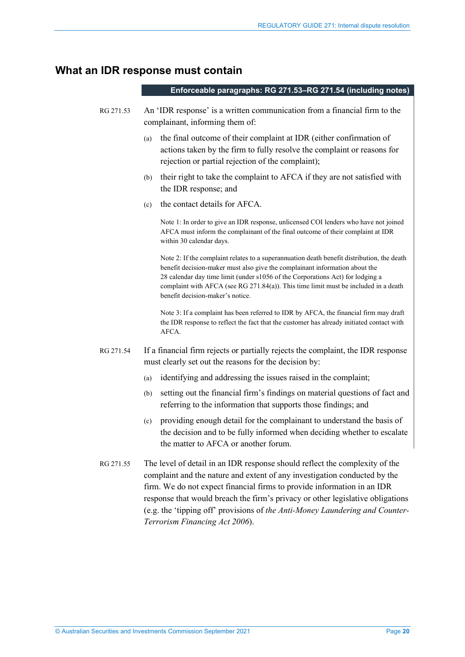### <span id="page-19-1"></span><span id="page-19-0"></span>**What an IDR response must contain**

### **Enforceable paragraphs: RG [271.53–](#page-19-1)RG [271.54](#page-19-3) (including notes)**

<span id="page-19-4"></span>RG 271.53 An 'IDR response' is a written communication from a financial firm to the complainant, informing them of:

- (a) the final outcome of their complaint at IDR (either confirmation of actions taken by the firm to fully resolve the complaint or reasons for rejection or partial rejection of the complaint);
- (b) their right to take the complaint to AFCA if they are not satisfied with the IDR response; and
- <span id="page-19-5"></span>(c) the contact details for AFCA.

Note 1: In order to give an IDR response, unlicensed COI lenders who have not joined AFCA must inform the complainant of the final outcome of their complaint at IDR within 30 calendar days.

Note 2: If the complaint relates to a superannuation death benefit distribution, the death benefit decision-maker must also give the complainant information about the 28 calendar day time limit (under s1056 of the Corporations Act) for lodging a complaint with AFCA (see RG [271.84\(a\)\)](#page-26-0). This time limit must be included in a death benefit decision-maker's notice.

Note 3: If a complaint has been referred to IDR by AFCA, the financial firm may draft the IDR response to reflect the fact that the customer has already initiated contact with AFCA.

- <span id="page-19-3"></span>RG 271.54 If a financial firm rejects or partially rejects the complaint, the IDR response must clearly set out the reasons for the decision by:
	- (a) identifying and addressing the issues raised in the complaint;
	- (b) setting out the financial firm's findings on material questions of fact and referring to the information that supports those findings; and
	- (c) providing enough detail for the complainant to understand the basis of the decision and to be fully informed when deciding whether to escalate the matter to AFCA or another forum.
- <span id="page-19-2"></span>RG 271.55 The level of detail in an IDR response should reflect the complexity of the complaint and the nature and extent of any investigation conducted by the firm. We do not expect financial firms to provide information in an IDR response that would breach the firm's privacy or other legislative obligations (e.g. the 'tipping off' provisions of *the Anti-Money Laundering and Counter-Terrorism Financing Act 2006*).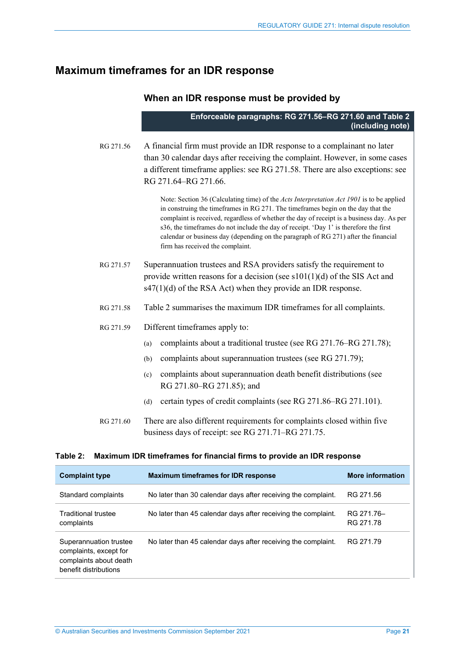### <span id="page-20-0"></span>**Maximum timeframes for an IDR response**

### **When an IDR response must be provided by**

**Enforceable paragraphs: RG [271.56–](#page-20-1)RG [271.60](#page-20-2) and [Table 2](#page-20-3) (including note)**

<span id="page-20-1"></span>RG 271.56 A financial firm must provide an IDR response to a complainant no later than 30 calendar days after receiving the complaint. However, in some cases a different timeframe applies: see RG [271.58.](#page-20-4) There are also exceptions: see RG [271.64–](#page-22-0)RG [271.66.](#page-22-1)

> Note: Section 36 (Calculating time) of the *Acts Interpretation Act 1901* is to be applied in construing the timeframes in RG 271. The timeframes begin on the day that the complaint is received, regardless of whether the day of receipt is a business day. As per s36, the timeframes do not include the day of receipt. 'Day 1' is therefore the first calendar or business day (depending on the paragraph of RG 271) after the financial firm has received the complaint.

- RG 271.57 Superannuation trustees and RSA providers satisfy the requirement to provide written reasons for a decision (see s101(1)(d) of the SIS Act and  $s47(1)(d)$  of the RSA Act) when they provide an IDR response.
- <span id="page-20-4"></span>RG 271.58 [Table 2](#page-20-3) summarises the maximum IDR timeframes for all complaints.
- RG 271.59 Different timeframes apply to:
	- (a) complaints about a traditional trustee (see RG [271.76–](#page-25-0)RG [271.78\)](#page-25-1);
	- (b) complaints about superannuation trustees (see RG [271.79\)](#page-25-2);
	- (c) complaints about superannuation death benefit distributions (see RG [271.80–](#page-26-1)RG [271.85\)](#page-26-2); and
	- (d) certain types of credit complaints (see RG [271.86–](#page-27-0)RG [271.101\)](#page-30-1).
- <span id="page-20-2"></span>RG 271.60 There are also different requirements for complaints closed within five business days of receipt: see RG [271.71–](#page-23-0)RG [271.75.](#page-24-0)

#### <span id="page-20-3"></span>**Table 2: Maximum IDR timeframes for financial firms to provide an IDR response**

| <b>Complaint type</b>                                                                               | <b>Maximum timeframes for IDR response</b>                    | More information        |
|-----------------------------------------------------------------------------------------------------|---------------------------------------------------------------|-------------------------|
| Standard complaints                                                                                 | No later than 30 calendar days after receiving the complaint. | RG 271.56               |
| Traditional trustee<br>complaints                                                                   | No later than 45 calendar days after receiving the complaint. | RG 271.76-<br>RG 271.78 |
| Superannuation trustee<br>complaints, except for<br>complaints about death<br>benefit distributions | No later than 45 calendar days after receiving the complaint. | RG 271.79               |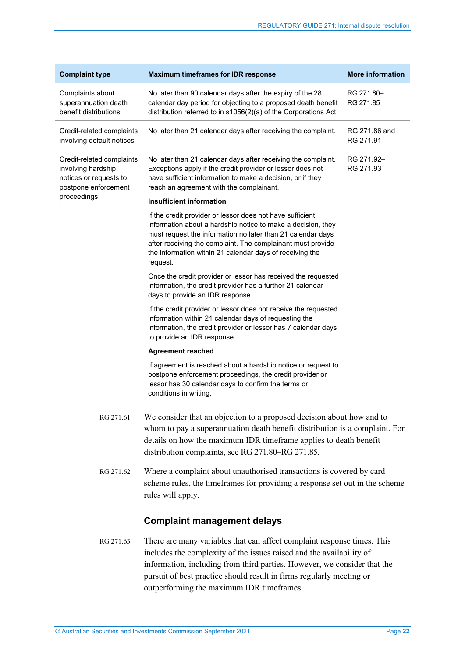| <b>Complaint type</b>                                                                             | <b>Maximum timeframes for IDR response</b>                                                                                                                                                                                                                                                                                      | <b>More information</b>    |
|---------------------------------------------------------------------------------------------------|---------------------------------------------------------------------------------------------------------------------------------------------------------------------------------------------------------------------------------------------------------------------------------------------------------------------------------|----------------------------|
| Complaints about<br>superannuation death<br>benefit distributions                                 | No later than 90 calendar days after the expiry of the 28<br>calendar day period for objecting to a proposed death benefit<br>distribution referred to in s1056(2)(a) of the Corporations Act.                                                                                                                                  | RG 271.80-<br>RG 271.85    |
| Credit-related complaints<br>involving default notices                                            | No later than 21 calendar days after receiving the complaint.                                                                                                                                                                                                                                                                   | RG 271.86 and<br>RG 271.91 |
| Credit-related complaints<br>involving hardship<br>notices or requests to<br>postpone enforcement | No later than 21 calendar days after receiving the complaint.<br>Exceptions apply if the credit provider or lessor does not<br>have sufficient information to make a decision, or if they<br>reach an agreement with the complainant.                                                                                           | RG 271.92-<br>RG 271.93    |
| proceedings                                                                                       | <b>Insufficient information</b>                                                                                                                                                                                                                                                                                                 |                            |
|                                                                                                   | If the credit provider or lessor does not have sufficient<br>information about a hardship notice to make a decision, they<br>must request the information no later than 21 calendar days<br>after receiving the complaint. The complainant must provide<br>the information within 21 calendar days of receiving the<br>request. |                            |
|                                                                                                   | Once the credit provider or lessor has received the requested<br>information, the credit provider has a further 21 calendar<br>days to provide an IDR response.                                                                                                                                                                 |                            |
|                                                                                                   | If the credit provider or lessor does not receive the requested<br>information within 21 calendar days of requesting the<br>information, the credit provider or lessor has 7 calendar days<br>to provide an IDR response.                                                                                                       |                            |
|                                                                                                   | <b>Agreement reached</b>                                                                                                                                                                                                                                                                                                        |                            |
|                                                                                                   | If agreement is reached about a hardship notice or request to<br>postpone enforcement proceedings, the credit provider or<br>lessor has 30 calendar days to confirm the terms or<br>conditions in writing.                                                                                                                      |                            |
| RG 271.61                                                                                         | We consider that an objection to a proposed decision about how and to<br>whom to pay a superannuation death benefit distribution is a complaint. For<br>details on how the maximum IDR timeframe applies to death benefit<br>distribution complaints, see RG 271.80-RG 271.85.                                                  |                            |
| RG 271.62                                                                                         | Where a complaint about unauthorised transactions is covered by card<br>scheme rules, the timeframes for providing a response set out in the scheme<br>rules will apply.                                                                                                                                                        |                            |

### **Complaint management delays**

RG 271.63 There are many variables that can affect complaint response times. This includes the complexity of the issues raised and the availability of information, including from third parties. However, we consider that the pursuit of best practice should result in firms regularly meeting or outperforming the maximum IDR timeframes.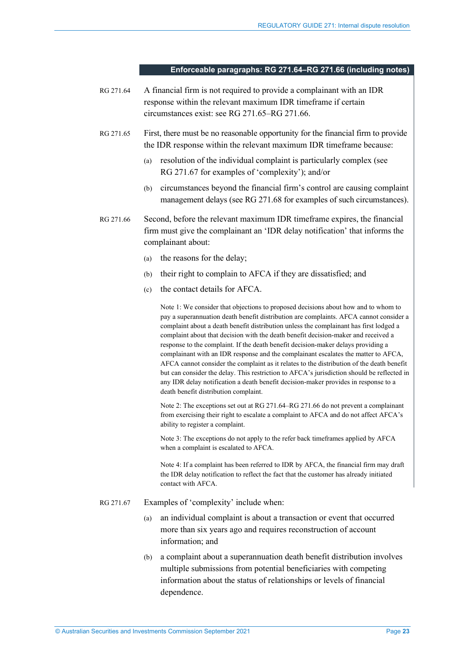#### **Enforceable paragraphs: RG [271.64–](#page-22-0)RG [271.66](#page-22-1) (including notes)**

- <span id="page-22-0"></span>RG 271.64 A financial firm is not required to provide a complainant with an IDR response within the relevant maximum IDR timeframe if certain circumstances exist: see RG [271.65–](#page-22-2)RG [271.66.](#page-22-1)
- <span id="page-22-2"></span>RG 271.65 First, there must be no reasonable opportunity for the financial firm to provide the IDR response within the relevant maximum IDR timeframe because:
	- (a) resolution of the individual complaint is particularly complex (see RG [271.67](#page-22-3) for examples of 'complexity'); and/or
	- (b) circumstances beyond the financial firm's control are causing complaint management delays (see RG [271.68](#page-23-1) for examples of such circumstances).
- <span id="page-22-1"></span>RG 271.66 Second, before the relevant maximum IDR timeframe expires, the financial firm must give the complainant an 'IDR delay notification' that informs the complainant about:
	- (a) the reasons for the delay;
	- (b) their right to complain to AFCA if they are dissatisfied; and
	- (c) the contact details for AFCA.

Note 1: We consider that objections to proposed decisions about how and to whom to pay a superannuation death benefit distribution are complaints. AFCA cannot consider a complaint about a death benefit distribution unless the complainant has first lodged a complaint about that decision with the death benefit decision-maker and received a response to the complaint. If the death benefit decision-maker delays providing a complainant with an IDR response and the complainant escalates the matter to AFCA, AFCA cannot consider the complaint as it relates to the distribution of the death benefit but can consider the delay. This restriction to AFCA's jurisdiction should be reflected in any IDR delay notification a death benefit decision-maker provides in response to a death benefit distribution complaint.

Note 2: The exceptions set out at RG [271.64–](#page-22-0)RG [271.66](#page-22-1) do not prevent a complainant from exercising their right to escalate a complaint to AFCA and do not affect AFCA's ability to register a complaint.

Note 3: The exceptions do not apply to the refer back timeframes applied by AFCA when a complaint is escalated to AFCA.

Note 4: If a complaint has been referred to IDR by AFCA, the financial firm may draft the IDR delay notification to reflect the fact that the customer has already initiated contact with AFCA.

#### <span id="page-22-3"></span>RG 271.67 Examples of 'complexity' include when:

- (a) an individual complaint is about a transaction or event that occurred more than six years ago and requires reconstruction of account information; and
- (b) a complaint about a superannuation death benefit distribution involves multiple submissions from potential beneficiaries with competing information about the status of relationships or levels of financial dependence.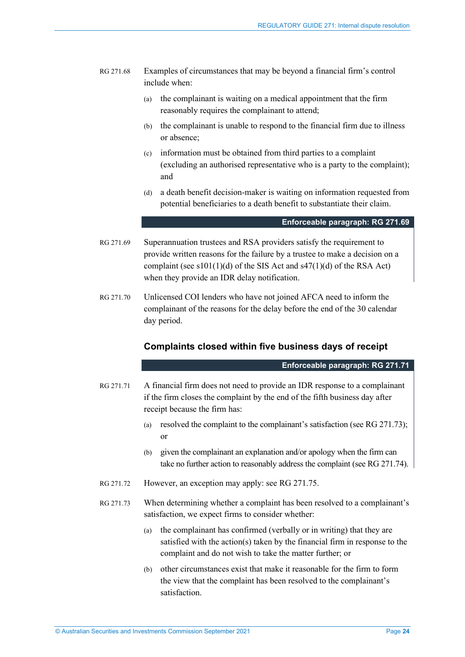- <span id="page-23-1"></span>RG 271.68 Examples of circumstances that may be beyond a financial firm's control include when:
	- (a) the complainant is waiting on a medical appointment that the firm reasonably requires the complainant to attend;
	- (b) the complainant is unable to respond to the financial firm due to illness or absence;
	- (c) information must be obtained from third parties to a complaint (excluding an authorised representative who is a party to the complaint); and
	- (d) a death benefit decision-maker is waiting on information requested from potential beneficiaries to a death benefit to substantiate their claim.

#### **Enforceable paragraph: RG [271.69](#page-23-2)**

- <span id="page-23-2"></span>RG 271.69 Superannuation trustees and RSA providers satisfy the requirement to provide written reasons for the failure by a trustee to make a decision on a complaint (see  $s101(1)(d)$  of the SIS Act and  $s47(1)(d)$  of the RSA Act) when they provide an IDR delay notification.
- RG 271.70 Unlicensed COI lenders who have not joined AFCA need to inform the complainant of the reasons for the delay before the end of the 30 calendar day period.

### **Complaints closed within five business days of receipt**

#### **Enforceable paragraph: RG [271.71](#page-23-0)**

- <span id="page-23-0"></span>RG 271.71 A financial firm does not need to provide an IDR response to a complainant if the firm closes the complaint by the end of the fifth business day after receipt because the firm has:
	- (a) resolved the complaint to the complainant's satisfaction (see RG [271.73\)](#page-23-3); or
	- (b) given the complainant an explanation and/or apology when the firm can take no further action to reasonably address the complaint (see RG [271.74\)](#page-24-1).
- <span id="page-23-3"></span>RG 271.72 However, an exception may apply: see RG [271.75.](#page-24-0)
- RG 271.73 When determining whether a complaint has been resolved to a complainant's satisfaction, we expect firms to consider whether:
	- (a) the complainant has confirmed (verbally or in writing) that they are satisfied with the action(s) taken by the financial firm in response to the complaint and do not wish to take the matter further; or
	- (b) other circumstances exist that make it reasonable for the firm to form the view that the complaint has been resolved to the complainant's satisfaction.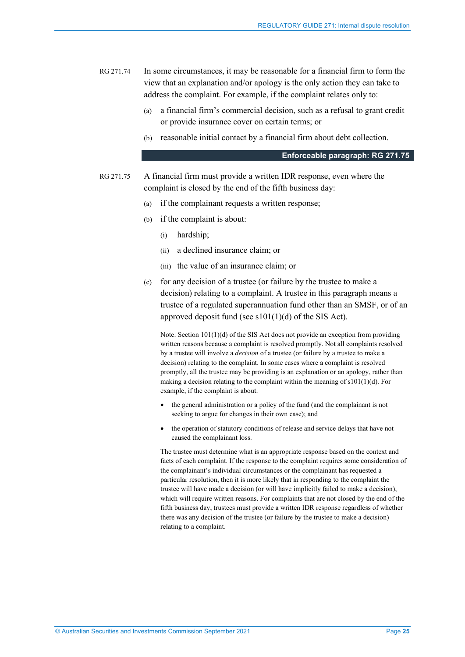- <span id="page-24-1"></span>RG 271.74 In some circumstances, it may be reasonable for a financial firm to form the view that an explanation and/or apology is the only action they can take to address the complaint. For example, if the complaint relates only to:
	- (a) a financial firm's commercial decision, such as a refusal to grant credit or provide insurance cover on certain terms; or
	- (b) reasonable initial contact by a financial firm about debt collection.

#### **Enforceable paragraph: RG [271.75](#page-24-0)**

<span id="page-24-0"></span>RG 271.75 A financial firm must provide a written IDR response, even where the complaint is closed by the end of the fifth business day:

- (a) if the complainant requests a written response;
- (b) if the complaint is about:
	- (i) hardship;
	- (ii) a declined insurance claim; or
	- (iii) the value of an insurance claim; or
- (c) for any decision of a trustee (or failure by the trustee to make a decision) relating to a complaint. A trustee in this paragraph means a trustee of a regulated superannuation fund other than an SMSF, or of an approved deposit fund (see s101(1)(d) of the SIS Act).

Note: Section 101(1)(d) of the SIS Act does not provide an exception from providing written reasons because a complaint is resolved promptly. Not all complaints resolved by a trustee will involve a *decision* of a trustee (or failure by a trustee to make a decision) relating to the complaint. In some cases where a complaint is resolved promptly, all the trustee may be providing is an explanation or an apology, rather than making a decision relating to the complaint within the meaning of s101(1)(d). For example, if the complaint is about:

- the general administration or a policy of the fund (and the complainant is not seeking to argue for changes in their own case); and
- the operation of statutory conditions of release and service delays that have not caused the complainant loss.

The trustee must determine what is an appropriate response based on the context and facts of each complaint. If the response to the complaint requires some consideration of the complainant's individual circumstances or the complainant has requested a particular resolution, then it is more likely that in responding to the complaint the trustee will have made a decision (or will have implicitly failed to make a decision), which will require written reasons. For complaints that are not closed by the end of the fifth business day, trustees must provide a written IDR response regardless of whether there was any decision of the trustee (or failure by the trustee to make a decision) relating to a complaint.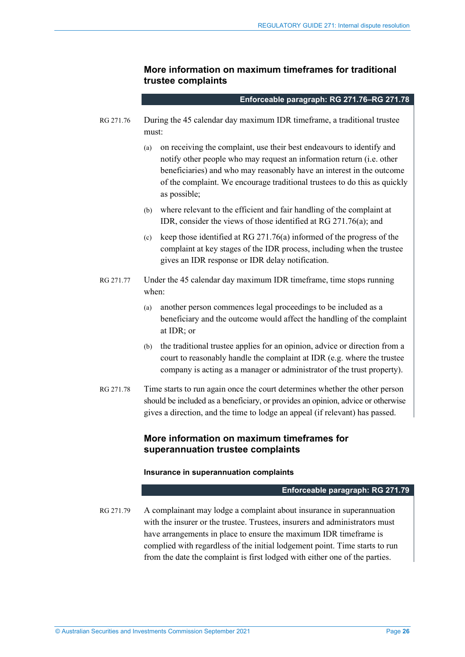### **More information on maximum timeframes for traditional trustee complaints**

### **Enforceable paragraph: RG [271.76–](#page-25-0)RG [271.78](#page-25-1)**

- <span id="page-25-3"></span><span id="page-25-0"></span>RG 271.76 During the 45 calendar day maximum IDR timeframe, a traditional trustee must:
	- (a) on receiving the complaint, use their best endeavours to identify and notify other people who may request an information return (i.e. other beneficiaries) and who may reasonably have an interest in the outcome of the complaint. We encourage traditional trustees to do this as quickly as possible;
	- (b) where relevant to the efficient and fair handling of the complaint at IDR, consider the views of those identified at RG [271.76\(a\);](#page-25-3) and
	- (c) keep those identified at RG [271.76\(a\)](#page-25-3) informed of the progress of the complaint at key stages of the IDR process, including when the trustee gives an IDR response or IDR delay notification.
- RG 271.77 Under the 45 calendar day maximum IDR timeframe, time stops running when:
	- (a) another person commences legal proceedings to be included as a beneficiary and the outcome would affect the handling of the complaint at IDR; or
	- (b) the traditional trustee applies for an opinion, advice or direction from a court to reasonably handle the complaint at IDR (e.g. where the trustee company is acting as a manager or administrator of the trust property).
- <span id="page-25-1"></span>RG 271.78 Time starts to run again once the court determines whether the other person should be included as a beneficiary, or provides an opinion, advice or otherwise gives a direction, and the time to lodge an appeal (if relevant) has passed.

### **More information on maximum timeframes for superannuation trustee complaints**

#### **Insurance in superannuation complaints**

#### **Enforceable paragraph: RG [271.79](#page-25-2)**

<span id="page-25-2"></span>RG 271.79 A complainant may lodge a complaint about insurance in superannuation with the insurer or the trustee. Trustees, insurers and administrators must have arrangements in place to ensure the maximum IDR timeframe is complied with regardless of the initial lodgement point. Time starts to run from the date the complaint is first lodged with either one of the parties.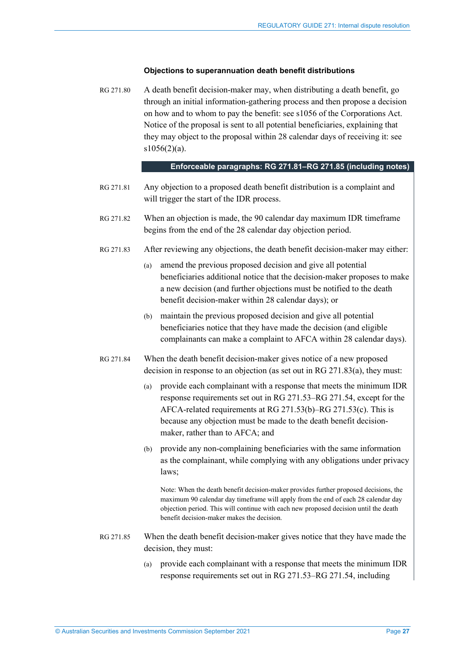#### **Objections to superannuation death benefit distributions**

<span id="page-26-1"></span>RG 271.80 A death benefit decision-maker may, when distributing a death benefit, go through an initial information-gathering process and then propose a decision on how and to whom to pay the benefit: see s1056 of the Corporations Act. Notice of the proposal is sent to all potential beneficiaries, explaining that they may object to the proposal within 28 calendar days of receiving it: see s1056(2)(a).

#### **Enforceable paragraphs: RG [271.81–](#page-26-3)RG [271.85](#page-26-2) (including notes)**

- <span id="page-26-3"></span>RG 271.81 Any objection to a proposed death benefit distribution is a complaint and will trigger the start of the IDR process.
- RG 271.82 When an objection is made, the 90 calendar day maximum IDR timeframe begins from the end of the 28 calendar day objection period.
- <span id="page-26-4"></span>RG 271.83 After reviewing any objections, the death benefit decision-maker may either:
	- (a) amend the previous proposed decision and give all potential beneficiaries additional notice that the decision-maker proposes to make a new decision (and further objections must be notified to the death benefit decision-maker within 28 calendar days); or
	- (b) maintain the previous proposed decision and give all potential beneficiaries notice that they have made the decision (and eligible complainants can make a complaint to AFCA within 28 calendar days).
- <span id="page-26-0"></span>RG 271.84 When the death benefit decision-maker gives notice of a new proposed decision in response to an objection (as set out in RG [271.83\(a\),](#page-26-4) they must:
	- (a) provide each complainant with a response that meets the minimum IDR response requirements set out in RG [271.53–](#page-19-1)RG [271.54,](#page-19-3) except for the AFCA-related requirements at RG [271.53\(b\)–](#page-19-4)RG [271.53\(c\).](#page-19-5) This is because any objection must be made to the death benefit decisionmaker, rather than to AFCA; and
	- (b) provide any non-complaining beneficiaries with the same information as the complainant, while complying with any obligations under privacy laws;

Note: When the death benefit decision-maker provides further proposed decisions, the maximum 90 calendar day timeframe will apply from the end of each 28 calendar day objection period. This will continue with each new proposed decision until the death benefit decision-maker makes the decision.

- <span id="page-26-5"></span><span id="page-26-2"></span>RG 271.85 When the death benefit decision-maker gives notice that they have made the decision, they must:
	- (a) provide each complainant with a response that meets the minimum IDR response requirements set out in RG [271.53–](#page-19-1)RG [271.54,](#page-19-3) including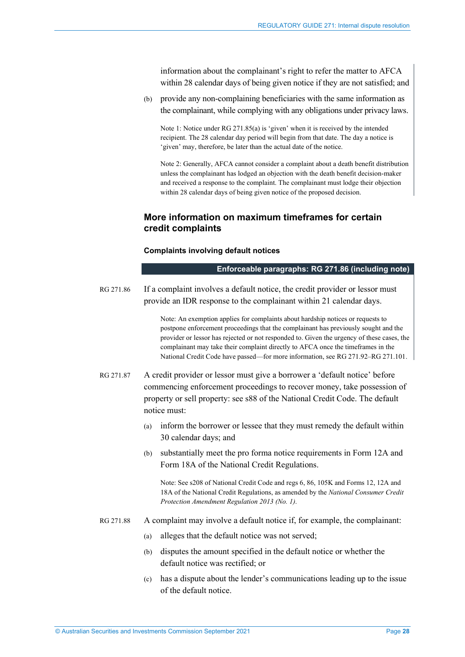information about the complainant's right to refer the matter to AFCA within 28 calendar days of being given notice if they are not satisfied; and

(b) provide any non-complaining beneficiaries with the same information as the complainant, while complying with any obligations under privacy laws.

Note 1: Notice under RG [271.85](#page-26-2)[\(a\)](#page-26-5) is 'given' when it is received by the intended recipient. The 28 calendar day period will begin from that date. The day a notice is 'given' may, therefore, be later than the actual date of the notice.

Note 2: Generally, AFCA cannot consider a complaint about a death benefit distribution unless the complainant has lodged an objection with the death benefit decision-maker and received a response to the complaint. The complainant must lodge their objection within 28 calendar days of being given notice of the proposed decision.

### **More information on maximum timeframes for certain credit complaints**

#### **Complaints involving default notices**

#### **Enforceable paragraphs: RG [271.86](#page-27-0) (including note)**

<span id="page-27-0"></span>RG 271.86 If a complaint involves a default notice, the credit provider or lessor must provide an IDR response to the complainant within 21 calendar days.

> Note: An exemption applies for complaints about hardship notices or requests to postpone enforcement proceedings that the complainant has previously sought and the provider or lessor has rejected or not responded to. Given the urgency of these cases, the complainant may take their complaint directly to AFCA once the timeframes in the National Credit Code have passed—for more information, see RG [271.92–](#page-28-1)RG [271.101.](#page-30-1)

- RG 271.87 A credit provider or lessor must give a borrower a 'default notice' before commencing enforcement proceedings to recover money, take possession of property or sell property: see s88 of the National Credit Code. The default notice must:
	- (a) inform the borrower or lessee that they must remedy the default within 30 calendar days; and
	- (b) substantially meet the pro forma notice requirements in Form 12A and Form 18A of the National Credit Regulations.

Note: See s208 of National Credit Code and regs 6, 86, 105K and Forms 12, 12A and 18A of the National Credit Regulations, as amended by the *National Consumer Credit Protection Amendment Regulation 2013 (No. 1)*.

- RG 271.88 A complaint may involve a default notice if, for example, the complainant:
	- (a) alleges that the default notice was not served;
	- (b) disputes the amount specified in the default notice or whether the default notice was rectified; or
	- (c) has a dispute about the lender's communications leading up to the issue of the default notice.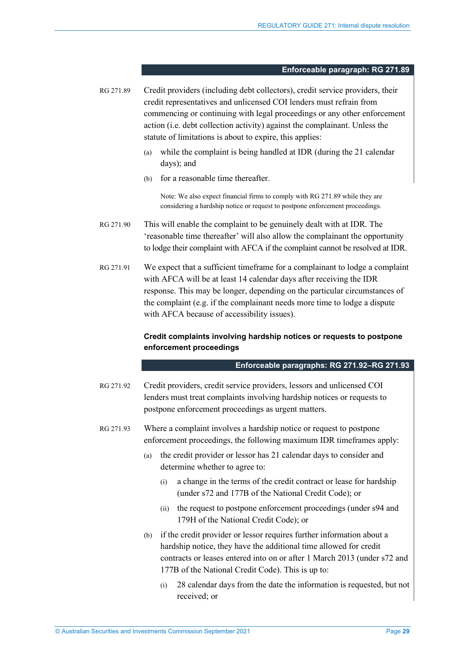#### **Enforceable paragraph: RG [271.89](#page-28-3)**

- <span id="page-28-3"></span>RG 271.89 Credit providers (including debt collectors), credit service providers, their credit representatives and unlicensed COI lenders must refrain from commencing or continuing with legal proceedings or any other enforcement action (i.e. debt collection activity) against the complainant. Unless the statute of limitations is about to expire, this applies:
	- (a) while the complaint is being handled at IDR (during the 21 calendar days); and
	- (b) for a reasonable time thereafter.

Note: We also expect financial firms to comply with RG [271.89](#page-28-3) while they are considering a hardship notice or request to postpone enforcement proceedings.

- RG 271.90 This will enable the complaint to be genuinely dealt with at IDR. The 'reasonable time thereafter' will also allow the complainant the opportunity to lodge their complaint with AFCA if the complaint cannot be resolved at IDR.
- <span id="page-28-0"></span>RG 271.91 We expect that a sufficient timeframe for a complainant to lodge a complaint with AFCA will be at least 14 calendar days after receiving the IDR response. This may be longer, depending on the particular circumstances of the complaint (e.g. if the complainant needs more time to lodge a dispute with AFCA because of accessibility issues).

### **Credit complaints involving hardship notices or requests to postpone enforcement proceedings**

#### **Enforceable paragraphs: RG [271.92–](#page-28-1)RG [271.93](#page-28-2)**

- <span id="page-28-1"></span>RG 271.92 Credit providers, credit service providers, lessors and unlicensed COI lenders must treat complaints involving hardship notices or requests to postpone enforcement proceedings as urgent matters.
- <span id="page-28-2"></span>RG 271.93 Where a complaint involves a hardship notice or request to postpone enforcement proceedings, the following maximum IDR timeframes apply:
	- (a) the credit provider or lessor has 21 calendar days to consider and determine whether to agree to:
		- (i) a change in the terms of the credit contract or lease for hardship (under s72 and 177B of the National Credit Code); or
		- (ii) the request to postpone enforcement proceedings (under s94 and 179H of the National Credit Code); or
	- (b) if the credit provider or lessor requires further information about a hardship notice, they have the additional time allowed for credit contracts or leases entered into on or after 1 March 2013 (under s72 and 177B of the National Credit Code). This is up to:
		- (i) 28 calendar days from the date the information is requested, but not received; or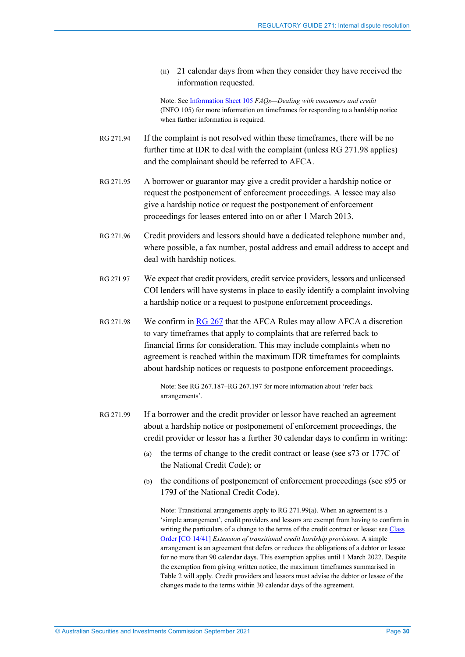(ii) 21 calendar days from when they consider they have received the information requested.

Note: See [Information Sheet 105](https://asic.gov.au/regulatory-resources/credit/credit-contracts-and-disclosure/faqs-dealing-with-consumers-and-credit/) *FAQs—Dealing with consumers and credit* (INFO 105) for more information on timeframes for responding to a hardship notice when further information is required.

- RG 271.94 If the complaint is not resolved within these timeframes, there will be no further time at IDR to deal with the complaint (unless [RG 271.98](#page-29-0) applies) and the complainant should be referred to AFCA.
- RG 271.95 A borrower or guarantor may give a credit provider a hardship notice or request the postponement of enforcement proceedings. A lessee may also give a hardship notice or request the postponement of enforcement proceedings for leases entered into on or after 1 March 2013.
- RG 271.96 Credit providers and lessors should have a dedicated telephone number and, where possible, a fax number, postal address and email address to accept and deal with hardship notices.
- RG 271.97 We expect that credit providers, credit service providers, lessors and unlicensed COI lenders will have systems in place to easily identify a complaint involving a hardship notice or a request to postpone enforcement proceedings.
- <span id="page-29-0"></span>RG 271.98 We confirm in [RG 267](https://asic.gov.au/regulatory-resources/find-a-document/regulatory-guides/rg-267-oversight-of-the-australian-financial-complaints-authority/) that the AFCA Rules may allow AFCA a discretion to vary timeframes that apply to complaints that are referred back to financial firms for consideration. This may include complaints when no agreement is reached within the maximum IDR timeframes for complaints about hardship notices or requests to postpone enforcement proceedings.

Note: See RG 267.187–RG 267.197 for more information about 'refer back arrangements'.

- <span id="page-29-2"></span><span id="page-29-1"></span>RG 271.99 If a borrower and the credit provider or lessor have reached an agreement about a hardship notice or postponement of enforcement proceedings, the credit provider or lessor has a further 30 calendar days to confirm in writing:
	- (a) the terms of change to the credit contract or lease (see s73 or 177C of the National Credit Code); or
	- (b) the conditions of postponement of enforcement proceedings (see s95 or 179J of the National Credit Code).

Note: Transitional arrangements apply to [RG 271.99\(a\).](#page-29-1) When an agreement is a 'simple arrangement', credit providers and lessors are exempt from having to confirm in writing the particulars of a change to the terms of the credit contract or lease: see Class [Order \[CO 14/41\]](https://www.legislation.gov.au/current/F2020C00162) *Extension of transitional credit hardship provisions*. A simple arrangement is an agreement that defers or reduces the obligations of a debtor or lessee for no more than 90 calendar days. This exemption applies until 1 March 2022. Despite the exemption from giving written notice, the maximum timeframes summarised in [Table 2](#page-20-3) will apply. Credit providers and lessors must advise the debtor or lessee of the changes made to the terms within 30 calendar days of the agreement.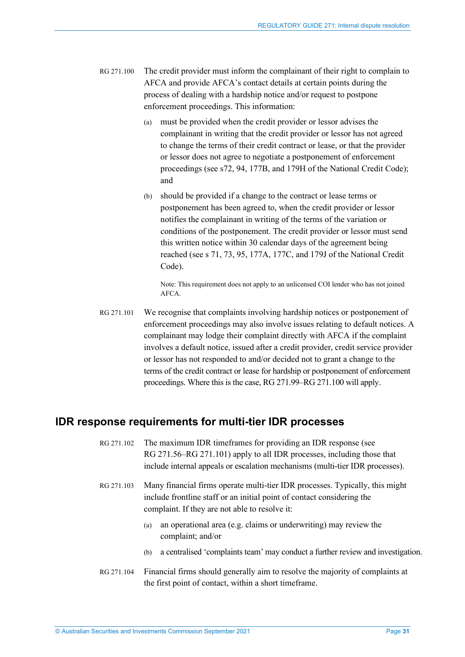- <span id="page-30-2"></span>RG 271.100 The credit provider must inform the complainant of their right to complain to AFCA and provide AFCA's contact details at certain points during the process of dealing with a hardship notice and/or request to postpone enforcement proceedings. This information:
	- (a) must be provided when the credit provider or lessor advises the complainant in writing that the credit provider or lessor has not agreed to change the terms of their credit contract or lease, or that the provider or lessor does not agree to negotiate a postponement of enforcement proceedings (see s72, 94, 177B, and 179H of the National Credit Code); and
	- (b) should be provided if a change to the contract or lease terms or postponement has been agreed to, when the credit provider or lessor notifies the complainant in writing of the terms of the variation or conditions of the postponement. The credit provider or lessor must send this written notice within 30 calendar days of the agreement being reached (see s 71, 73, 95, 177A, 177C, and 179J of the National Credit Code).

Note: This requirement does not apply to an unlicensed COI lender who has not joined AFCA.

<span id="page-30-1"></span>RG 271.101 We recognise that complaints involving hardship notices or postponement of enforcement proceedings may also involve issues relating to default notices. A complainant may lodge their complaint directly with AFCA if the complaint involves a default notice, issued after a credit provider, credit service provider or lessor has not responded to and/or decided not to grant a change to the terms of the credit contract or lease for hardship or postponement of enforcement proceedings. Where this is the case, RG [271.99–](#page-29-2)RG [271.100](#page-30-2) will apply.

### <span id="page-30-0"></span>**IDR response requirements for multi-tier IDR processes**

- RG 271.102 The maximum IDR timeframes for providing an IDR response (see RG [271.56–](#page-20-1)RG [271.101\)](#page-30-1) apply to all IDR processes, including those that include internal appeals or escalation mechanisms (multi-tier IDR processes).
- RG 271.103 Many financial firms operate multi-tier IDR processes. Typically, this might include frontline staff or an initial point of contact considering the complaint. If they are not able to resolve it:
	- (a) an operational area (e.g. claims or underwriting) may review the complaint; and/or
	- (b) a centralised 'complaints team' may conduct a further review and investigation.
- RG 271.104 Financial firms should generally aim to resolve the majority of complaints at the first point of contact, within a short timeframe.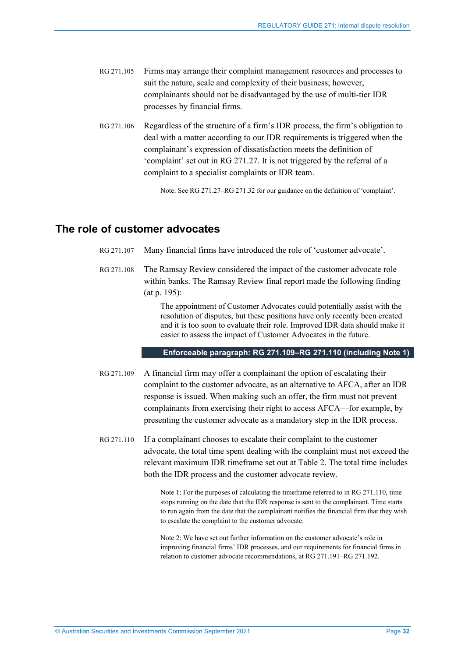- RG 271.105 Firms may arrange their complaint management resources and processes to suit the nature, scale and complexity of their business; however, complainants should not be disadvantaged by the use of multi-tier IDR processes by financial firms.
- <span id="page-31-1"></span>RG 271.106 Regardless of the structure of a firm's IDR process, the firm's obligation to deal with a matter according to our IDR requirements is triggered when the complainant's expression of dissatisfaction meets the definition of 'complaint' set out in RG [271.27.](#page-12-2) It is not triggered by the referral of a complaint to a specialist complaints or IDR team.

Note: See RG [271.27–](#page-12-2)RG [271.32](#page-13-1) for our guidance on the definition of 'complaint'.

### <span id="page-31-0"></span>**The role of customer advocates**

- RG 271.107 Many financial firms have introduced the role of 'customer advocate'.
- RG 271.108 The Ramsay Review considered the impact of the customer advocate role within banks. The Ramsay Review final report made the following finding (at p. 195):

The appointment of Customer Advocates could potentially assist with the resolution of disputes, but these positions have only recently been created and it is too soon to evaluate their role. Improved IDR data should make it easier to assess the impact of Customer Advocates in the future.

#### **Enforceable paragraph: RG [271.109–](#page-31-2)RG [271.110](#page-31-3) (including Note 1)**

- <span id="page-31-2"></span>RG 271.109 A financial firm may offer a complainant the option of escalating their complaint to the customer advocate, as an alternative to AFCA, after an IDR response is issued. When making such an offer, the firm must not prevent complainants from exercising their right to access AFCA—for example, by presenting the customer advocate as a mandatory step in the IDR process.
- <span id="page-31-3"></span>RG 271.110 If a complainant chooses to escalate their complaint to the customer advocate, the total time spent dealing with the complaint must not exceed the relevant maximum IDR timeframe set out at [Table 2.](#page-20-3) The total time includes both the IDR process and the customer advocate review.

Note 1: For the purposes of calculating the timeframe referred to in RG [271.110,](#page-31-3) time stops running on the date that the IDR response is sent to the complainant. Time starts to run again from the date that the complainant notifies the financial firm that they wish to escalate the complaint to the customer advocate.

Note 2: We have set out further information on the customer advocate's role in improving financial firms' IDR processes, and our requirements for financial firms in relation to customer advocate recommendations, at RG [271.191–](#page-48-0)RG [271.192.](#page-48-1)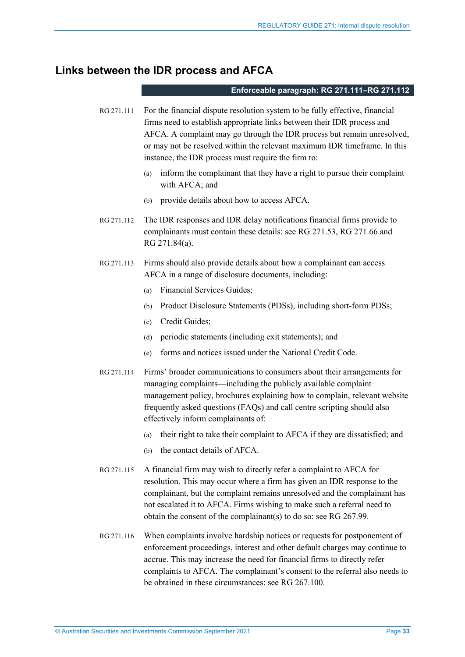### <span id="page-32-1"></span><span id="page-32-0"></span>**Links between the IDR process and AFCA**

### **Enforceable paragraph: RG [271.111–](#page-32-1)RG [271.112](#page-32-3)**

RG 271.111 For the financial dispute resolution system to be fully effective, financial firms need to establish appropriate links between their IDR process and AFCA. A complaint may go through the IDR process but remain unresolved, or may not be resolved within the relevant maximum IDR timeframe. In this instance, the IDR process must require the firm to:

- (a) inform the complainant that they have a right to pursue their complaint with AFCA; and
- (b) provide details about how to access AFCA.
- <span id="page-32-3"></span>RG 271.112 The IDR responses and IDR delay notifications financial firms provide to complainants must contain these details: see RG [271.53,](#page-19-1) RG [271.66](#page-22-1) and RG [271.84\(a\).](#page-26-0)
- RG 271.113 Firms should also provide details about how a complainant can access AFCA in a range of disclosure documents, including:
	- (a) Financial Services Guides;
	- (b) Product Disclosure Statements (PDSs), including short-form PDSs;
	- (c) Credit Guides;
	- (d) periodic statements (including exit statements); and
	- (e) forms and notices issued under the National Credit Code.
- RG 271.114 Firms' broader communications to consumers about their arrangements for managing complaints—including the publicly available complaint management policy, brochures explaining how to complain, relevant website frequently asked questions (FAQs) and call centre scripting should also effectively inform complainants of:
	- (a) their right to take their complaint to AFCA if they are dissatisfied; and
	- (b) the contact details of AFCA.
- RG 271.115 A financial firm may wish to directly refer a complaint to AFCA for resolution. This may occur where a firm has given an IDR response to the complainant, but the complaint remains unresolved and the complainant has not escalated it to AFCA. Firms wishing to make such a referral need to obtain the consent of the complainant(s) to do so: see RG 267.99.
- <span id="page-32-2"></span>RG 271.116 When complaints involve hardship notices or requests for postponement of enforcement proceedings, interest and other default charges may continue to accrue. This may increase the need for financial firms to directly refer complaints to AFCA. The complainant's consent to the referral also needs to be obtained in these circumstances: see RG 267.100.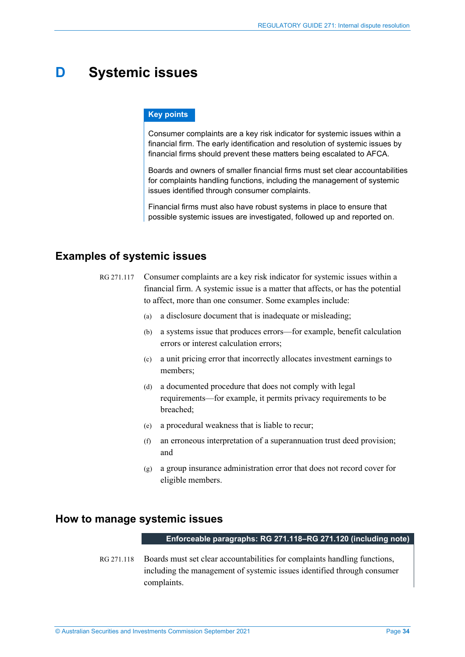## <span id="page-33-0"></span>**D Systemic issues**

#### **Key points**

Consumer complaints are a key risk indicator for systemic issues within a financial firm. The early identification and resolution of systemic issues by financial firms should prevent these matters being escalated to AFCA.

Boards and owners of smaller financial firms must set clear accountabilities for complaints handling functions, including the management of systemic issues identified through consumer complaints.

Financial firms must also have robust systems in place to ensure that possible systemic issues are investigated, followed up and reported on.

### <span id="page-33-1"></span>**Examples of systemic issues**

- RG 271.117 Consumer complaints are a key risk indicator for systemic issues within a financial firm. A systemic issue is a matter that affects, or has the potential to affect, more than one consumer. Some examples include:
	- (a) a disclosure document that is inadequate or misleading;
	- (b) a systems issue that produces errors—for example, benefit calculation errors or interest calculation errors;
	- (c) a unit pricing error that incorrectly allocates investment earnings to members;
	- (d) a documented procedure that does not comply with legal requirements—for example, it permits privacy requirements to be breached;
	- (e) a procedural weakness that is liable to recur;
	- (f) an erroneous interpretation of a superannuation trust deed provision; and
	- (g) a group insurance administration error that does not record cover for eligible members.

### <span id="page-33-3"></span><span id="page-33-2"></span>**How to manage systemic issues**

#### **Enforceable paragraphs: RG [271.118–](#page-33-3)RG [271.120](#page-34-0) (including note)**

RG 271.118 Boards must set clear accountabilities for complaints handling functions, including the management of systemic issues identified through consumer complaints.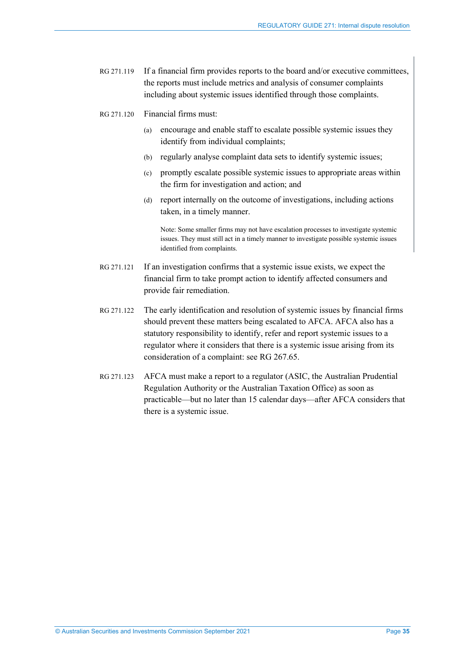- RG 271.119 If a financial firm provides reports to the board and/or executive committees, the reports must include metrics and analysis of consumer complaints including about systemic issues identified through those complaints.
- <span id="page-34-0"></span>RG 271.120 Financial firms must:
	- (a) encourage and enable staff to escalate possible systemic issues they identify from individual complaints;
	- (b) regularly analyse complaint data sets to identify systemic issues;
	- (c) promptly escalate possible systemic issues to appropriate areas within the firm for investigation and action; and
	- (d) report internally on the outcome of investigations, including actions taken, in a timely manner.

Note: Some smaller firms may not have escalation processes to investigate systemic issues. They must still act in a timely manner to investigate possible systemic issues identified from complaints.

- RG 271.121 If an investigation confirms that a systemic issue exists, we expect the financial firm to take prompt action to identify affected consumers and provide fair remediation.
- RG 271.122 The early identification and resolution of systemic issues by financial firms should prevent these matters being escalated to AFCA. AFCA also has a statutory responsibility to identify, refer and report systemic issues to a regulator where it considers that there is a systemic issue arising from its consideration of a complaint: see RG 267.65.
- RG 271.123 AFCA must make a report to a regulator (ASIC, the Australian Prudential Regulation Authority or the Australian Taxation Office) as soon as practicable—but no later than 15 calendar days—after AFCA considers that there is a systemic issue.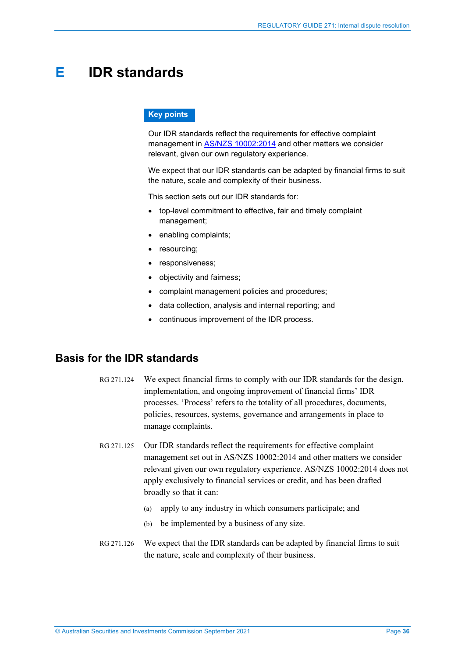## <span id="page-35-0"></span>**E IDR standards**

### **Key points**

Our IDR standards reflect the requirements for effective complaint management in [AS/NZS 10002:2014](https://www.standards.org.au/standards-catalogue/sa-snz/publicsafety/qr-015/as-slash-nzs--10002-colon-2014) and other matters we consider relevant, given our own regulatory experience.

We expect that our IDR standards can be adapted by financial firms to suit the nature, scale and complexity of their business.

This section sets out our IDR standards for:

- top-level commitment to effective, fair and timely complaint management;
- enabling complaints;
- resourcing;
- responsiveness;
- objectivity and fairness;
- complaint management policies and procedures;
- data collection, analysis and internal reporting; and
- continuous improvement of the IDR process.

### <span id="page-35-1"></span>**Basis for the IDR standards**

- RG 271.124 We expect financial firms to comply with our IDR standards for the design, implementation, and ongoing improvement of financial firms' IDR processes. 'Process' refers to the totality of all procedures, documents, policies, resources, systems, governance and arrangements in place to manage complaints.
- RG 271.125 Our IDR standards reflect the requirements for effective complaint management set out in AS/NZS 10002:2014 and other matters we consider relevant given our own regulatory experience. AS/NZS 10002:2014 does not apply exclusively to financial services or credit, and has been drafted broadly so that it can:
	- (a) apply to any industry in which consumers participate; and
	- (b) be implemented by a business of any size.
- RG 271.126 We expect that the IDR standards can be adapted by financial firms to suit the nature, scale and complexity of their business.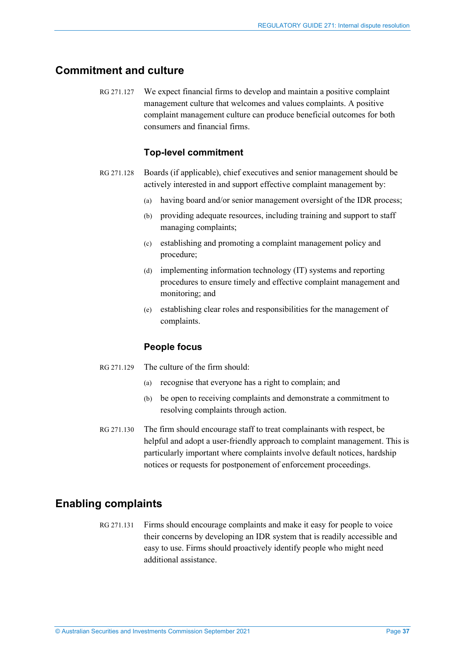### <span id="page-36-0"></span>**Commitment and culture**

RG 271.127 We expect financial firms to develop and maintain a positive complaint management culture that welcomes and values complaints. A positive complaint management culture can produce beneficial outcomes for both consumers and financial firms.

### **Top-level commitment**

- RG 271.128 Boards (if applicable), chief executives and senior management should be actively interested in and support effective complaint management by:
	- (a) having board and/or senior management oversight of the IDR process;
	- (b) providing adequate resources, including training and support to staff managing complaints;
	- (c) establishing and promoting a complaint management policy and procedure;
	- (d) implementing information technology (IT) systems and reporting procedures to ensure timely and effective complaint management and monitoring; and
	- (e) establishing clear roles and responsibilities for the management of complaints.

### **People focus**

- RG 271.129 The culture of the firm should:
	- (a) recognise that everyone has a right to complain; and
	- (b) be open to receiving complaints and demonstrate a commitment to resolving complaints through action.
- RG 271.130 The firm should encourage staff to treat complainants with respect, be helpful and adopt a user-friendly approach to complaint management. This is particularly important where complaints involve default notices, hardship notices or requests for postponement of enforcement proceedings.

### <span id="page-36-2"></span><span id="page-36-1"></span>**Enabling complaints**

RG 271.131 Firms should encourage complaints and make it easy for people to voice their concerns by developing an IDR system that is readily accessible and easy to use. Firms should proactively identify people who might need additional assistance.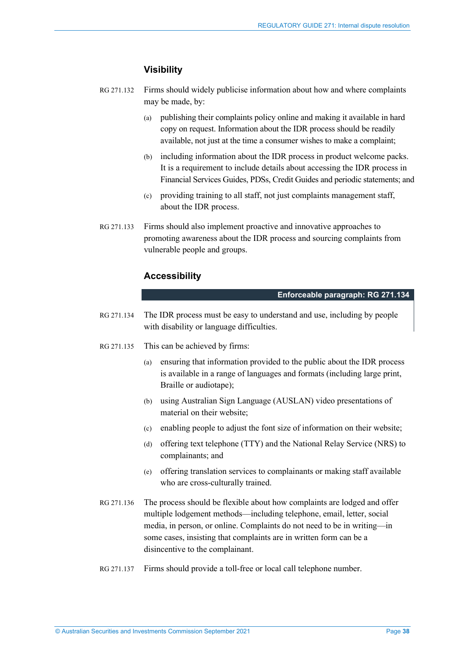### **Visibility**

- RG 271.132 Firms should widely publicise information about how and where complaints may be made, by:
	- (a) publishing their complaints policy online and making it available in hard copy on request. Information about the IDR process should be readily available, not just at the time a consumer wishes to make a complaint;
	- (b) including information about the IDR process in product welcome packs. It is a requirement to include details about accessing the IDR process in Financial Services Guides, PDSs, Credit Guides and periodic statements; and
	- (c) providing training to all staff, not just complaints management staff, about the IDR process.
- RG 271.133 Firms should also implement proactive and innovative approaches to promoting awareness about the IDR process and sourcing complaints from vulnerable people and groups.

### **Accessibility**

### **Enforceable paragraph: RG [271.134](#page-37-0)**

- <span id="page-37-0"></span>RG 271.134 The IDR process must be easy to understand and use, including by people with disability or language difficulties.
- RG 271.135 This can be achieved by firms:
	- (a) ensuring that information provided to the public about the IDR process is available in a range of languages and formats (including large print, Braille or audiotape);
	- (b) using Australian Sign Language (AUSLAN) video presentations of material on their website;
	- (c) enabling people to adjust the font size of information on their website;
	- (d) offering text telephone (TTY) and the National Relay Service (NRS) to complainants; and
	- (e) offering translation services to complainants or making staff available who are cross-culturally trained.
- RG 271.136 The process should be flexible about how complaints are lodged and offer multiple lodgement methods—including telephone, email, letter, social media, in person, or online. Complaints do not need to be in writing—in some cases, insisting that complaints are in written form can be a disincentive to the complainant.
- RG 271.137 Firms should provide a toll-free or local call telephone number.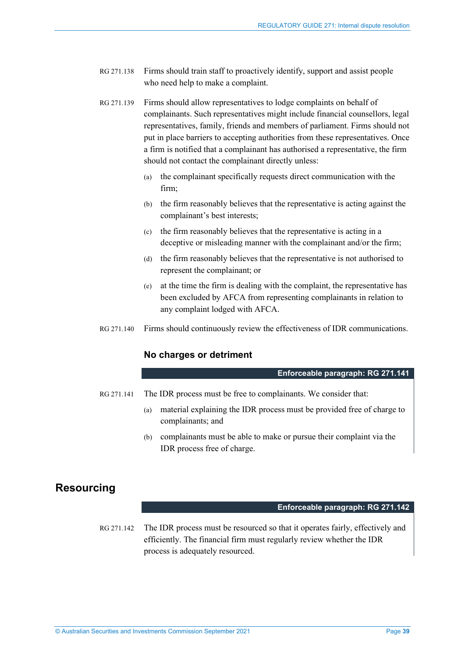- RG 271.138 Firms should train staff to proactively identify, support and assist people who need help to make a complaint.
- RG 271.139 Firms should allow representatives to lodge complaints on behalf of complainants. Such representatives might include financial counsellors, legal representatives, family, friends and members of parliament. Firms should not put in place barriers to accepting authorities from these representatives. Once a firm is notified that a complainant has authorised a representative, the firm should not contact the complainant directly unless:
	- (a) the complainant specifically requests direct communication with the firm;
	- (b) the firm reasonably believes that the representative is acting against the complainant's best interests;
	- (c) the firm reasonably believes that the representative is acting in a deceptive or misleading manner with the complainant and/or the firm;
	- (d) the firm reasonably believes that the representative is not authorised to represent the complainant; or
	- (e) at the time the firm is dealing with the complaint, the representative has been excluded by AFCA from representing complainants in relation to any complaint lodged with AFCA.
- <span id="page-38-1"></span>RG 271.140 Firms should continuously review the effectiveness of IDR communications.

### **No charges or detriment**

#### **Enforceable paragraph: RG [271.141](#page-38-2)**

- <span id="page-38-2"></span>RG 271.141 The IDR process must be free to complainants. We consider that:
	- (a) material explaining the IDR process must be provided free of charge to complainants; and
	- (b) complainants must be able to make or pursue their complaint via the IDR process free of charge.

### <span id="page-38-3"></span><span id="page-38-0"></span>**Resourcing**

#### **Enforceable paragraph: RG [271.142](#page-38-3)**

RG 271.142 The IDR process must be resourced so that it operates fairly, effectively and efficiently. The financial firm must regularly review whether the IDR process is adequately resourced.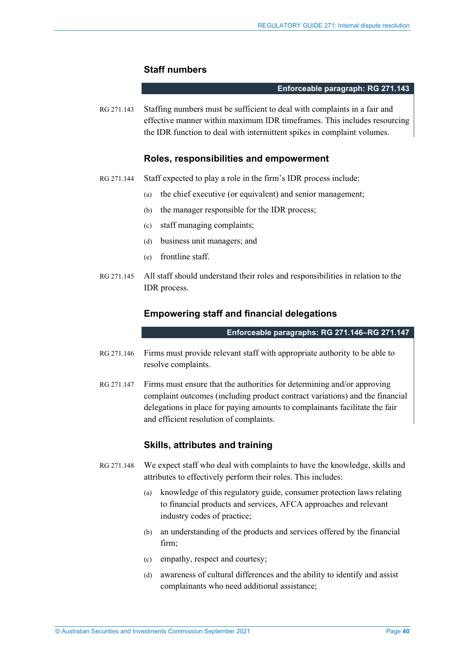### **Staff numbers**

#### **Enforceable paragraph: RG [271.143](#page-39-0)**

<span id="page-39-0"></span>RG 271.143 Staffing numbers must be sufficient to deal with complaints in a fair and effective manner within maximum IDR timeframes. This includes resourcing the IDR function to deal with intermittent spikes in complaint volumes.

### **Roles, responsibilities and empowerment**

- RG 271.144 Staff expected to play a role in the firm's IDR process include:
	- (a) the chief executive (or equivalent) and senior management;
	- (b) the manager responsible for the IDR process;
	- (c) staff managing complaints;
	- (d) business unit managers; and
	- (e) frontline staff.
- RG 271.145 All staff should understand their roles and responsibilities in relation to the IDR process.

### **Empowering staff and financial delegations**

#### **Enforceable paragraphs: RG [271.146–](#page-39-1)RG [271.147](#page-39-2)**

- <span id="page-39-1"></span>RG 271.146 Firms must provide relevant staff with appropriate authority to be able to resolve complaints.
- <span id="page-39-2"></span>RG 271.147 Firms must ensure that the authorities for determining and/or approving complaint outcomes (including product contract variations) and the financial delegations in place for paying amounts to complainants facilitate the fair and efficient resolution of complaints.

### **Skills, attributes and training**

- RG 271.148 We expect staff who deal with complaints to have the knowledge, skills and attributes to effectively perform their roles. This includes:
	- (a) knowledge of this regulatory guide, consumer protection laws relating to financial products and services, AFCA approaches and relevant industry codes of practice;
	- (b) an understanding of the products and services offered by the financial firm;
	- (c) empathy, respect and courtesy;
	- (d) awareness of cultural differences and the ability to identify and assist complainants who need additional assistance;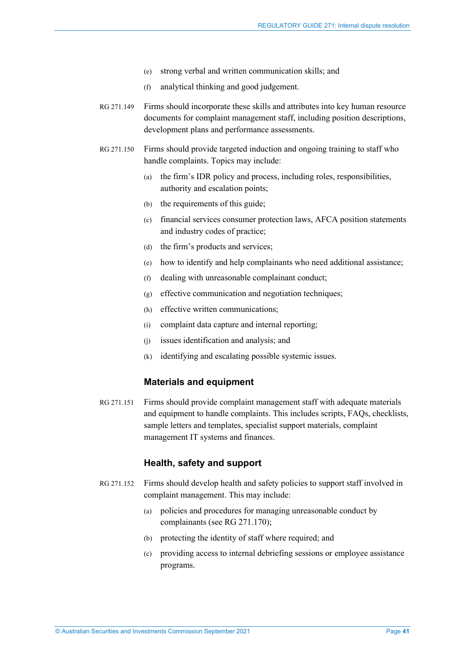- (e) strong verbal and written communication skills; and
- (f) analytical thinking and good judgement.
- RG 271.149 Firms should incorporate these skills and attributes into key human resource documents for complaint management staff, including position descriptions, development plans and performance assessments.
- RG 271.150 Firms should provide targeted induction and ongoing training to staff who handle complaints. Topics may include:
	- (a) the firm's IDR policy and process, including roles, responsibilities, authority and escalation points;
	- (b) the requirements of this guide;
	- (c) financial services consumer protection laws, AFCA position statements and industry codes of practice;
	- (d) the firm's products and services;
	- (e) how to identify and help complainants who need additional assistance;
	- (f) dealing with unreasonable complainant conduct;
	- (g) effective communication and negotiation techniques;
	- (h) effective written communications;
	- (i) complaint data capture and internal reporting;
	- (j) issues identification and analysis; and
	- (k) identifying and escalating possible systemic issues.

### **Materials and equipment**

RG 271.151 Firms should provide complaint management staff with adequate materials and equipment to handle complaints. This includes scripts, FAQs, checklists, sample letters and templates, specialist support materials, complaint management IT systems and finances.

### **Health, safety and support**

- RG 271.152 Firms should develop health and safety policies to support staff involved in complaint management. This may include:
	- (a) policies and procedures for managing unreasonable conduct by complainants (see RG [271.170\)](#page-43-1);
	- (b) protecting the identity of staff where required; and
	- (c) providing access to internal debriefing sessions or employee assistance programs.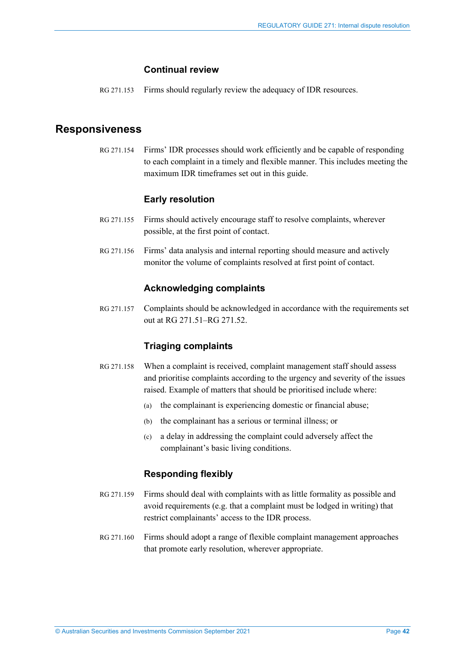### **Continual review**

RG 271.153 Firms should regularly review the adequacy of IDR resources.

### <span id="page-41-0"></span>**Responsiveness**

RG 271.154 Firms' IDR processes should work efficiently and be capable of responding to each complaint in a timely and flexible manner. This includes meeting the maximum IDR timeframes set out in this guide.

### **Early resolution**

- RG 271.155 Firms should actively encourage staff to resolve complaints, wherever possible, at the first point of contact.
- RG 271.156 Firms' data analysis and internal reporting should measure and actively monitor the volume of complaints resolved at first point of contact.

### **Acknowledging complaints**

RG 271.157 Complaints should be acknowledged in accordance with the requirements set out at RG [271.51–](#page-18-2)RG [271.52.](#page-18-3)

### **Triaging complaints**

- <span id="page-41-1"></span>RG 271.158 When a complaint is received, complaint management staff should assess and prioritise complaints according to the urgency and severity of the issues raised. Example of matters that should be prioritised include where:
	- (a) the complainant is experiencing domestic or financial abuse;
	- (b) the complainant has a serious or terminal illness; or
	- (c) a delay in addressing the complaint could adversely affect the complainant's basic living conditions.

### **Responding flexibly**

- <span id="page-41-2"></span>RG 271.159 Firms should deal with complaints with as little formality as possible and avoid requirements (e.g. that a complaint must be lodged in writing) that restrict complainants' access to the IDR process.
- <span id="page-41-3"></span>RG 271.160 Firms should adopt a range of flexible complaint management approaches that promote early resolution, wherever appropriate.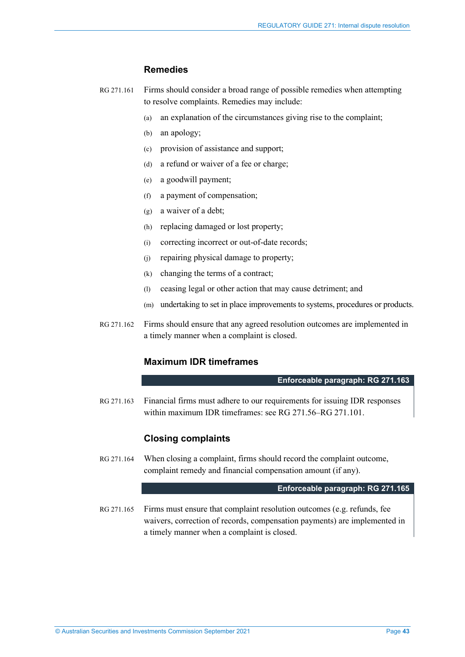### **Remedies**

- RG 271.161 Firms should consider a broad range of possible remedies when attempting to resolve complaints. Remedies may include:
	- (a) an explanation of the circumstances giving rise to the complaint;
	- (b) an apology;
	- (c) provision of assistance and support;
	- (d) a refund or waiver of a fee or charge;
	- (e) a goodwill payment;
	- (f) a payment of compensation;
	- (g) a waiver of a debt;
	- (h) replacing damaged or lost property;
	- (i) correcting incorrect or out-of-date records;
	- (j) repairing physical damage to property;
	- (k) changing the terms of a contract;
	- (l) ceasing legal or other action that may cause detriment; and
	- (m) undertaking to set in place improvements to systems, procedures or products.
- RG 271.162 Firms should ensure that any agreed resolution outcomes are implemented in a timely manner when a complaint is closed.

### **Maximum IDR timeframes**

#### **Enforceable paragraph: RG [271.163](#page-42-0)**

<span id="page-42-0"></span>RG 271.163 Financial firms must adhere to our requirements for issuing IDR responses within maximum IDR timeframes: see RG [271.56–](#page-20-1)RG [271.101.](#page-30-1)

### **Closing complaints**

<span id="page-42-2"></span>RG 271.164 When closing a complaint, firms should record the complaint outcome, complaint remedy and financial compensation amount (if any).

#### **Enforceable paragraph: RG [271.165](#page-42-1)**

<span id="page-42-1"></span>RG 271.165 Firms must ensure that complaint resolution outcomes (e.g. refunds, fee waivers, correction of records, compensation payments) are implemented in a timely manner when a complaint is closed.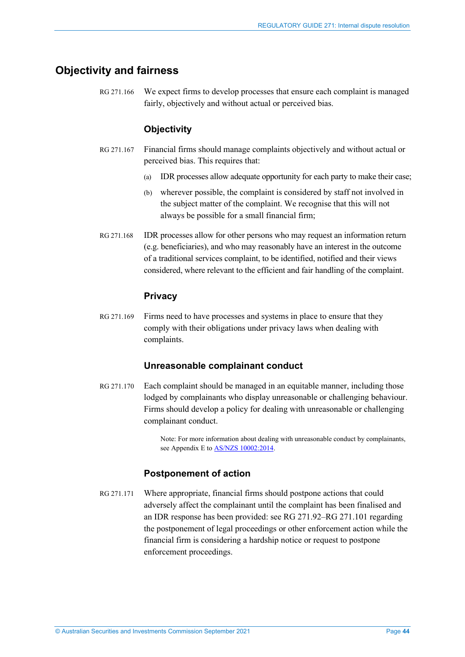### <span id="page-43-0"></span>**Objectivity and fairness**

RG 271.166 We expect firms to develop processes that ensure each complaint is managed fairly, objectively and without actual or perceived bias.

### **Objectivity**

- RG 271.167 Financial firms should manage complaints objectively and without actual or perceived bias. This requires that:
	- (a) IDR processes allow adequate opportunity for each party to make their case;
	- (b) wherever possible, the complaint is considered by staff not involved in the subject matter of the complaint. We recognise that this will not always be possible for a small financial firm;
- RG 271.168 IDR processes allow for other persons who may request an information return (e.g. beneficiaries), and who may reasonably have an interest in the outcome of a traditional services complaint, to be identified, notified and their views considered, where relevant to the efficient and fair handling of the complaint.

### **Privacy**

RG 271.169 Firms need to have processes and systems in place to ensure that they comply with their obligations under privacy laws when dealing with complaints.

### **Unreasonable complainant conduct**

<span id="page-43-1"></span>RG 271.170 Each complaint should be managed in an equitable manner, including those lodged by complainants who display unreasonable or challenging behaviour. Firms should develop a policy for dealing with unreasonable or challenging complainant conduct.

> Note: For more information about dealing with unreasonable conduct by complainants, see Appendix E to **AS/NZS** 10002:2014.

### **Postponement of action**

RG 271.171 Where appropriate, financial firms should postpone actions that could adversely affect the complainant until the complaint has been finalised and an IDR response has been provided: see RG [271.92–](#page-28-1)RG [271.101](#page-30-1) regarding the postponement of legal proceedings or other enforcement action while the financial firm is considering a hardship notice or request to postpone enforcement proceedings.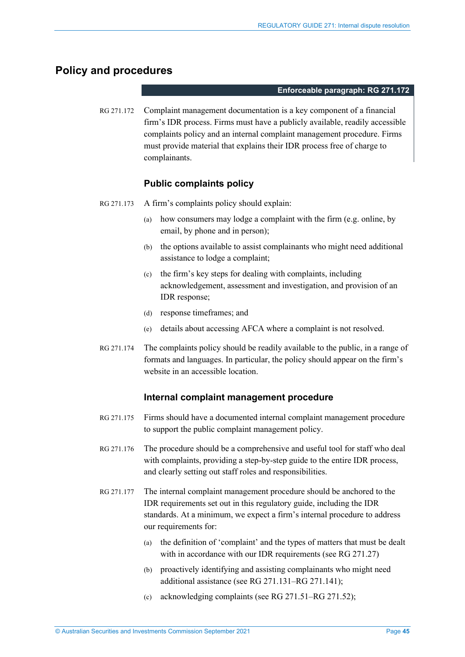### <span id="page-44-1"></span><span id="page-44-0"></span>**Policy and procedures**

### **Enforceable paragraph: RG [271.172](#page-44-1)**

RG 271.172 Complaint management documentation is a key component of a financial firm's IDR process. Firms must have a publicly available, readily accessible complaints policy and an internal complaint management procedure. Firms must provide material that explains their IDR process free of charge to complainants.

### **Public complaints policy**

- RG 271.173 A firm's complaints policy should explain:
	- (a) how consumers may lodge a complaint with the firm (e.g. online, by email, by phone and in person);
	- (b) the options available to assist complainants who might need additional assistance to lodge a complaint;
	- (c) the firm's key steps for dealing with complaints, including acknowledgement, assessment and investigation, and provision of an IDR response;
	- (d) response timeframes; and
	- (e) details about accessing AFCA where a complaint is not resolved.
- RG 271.174 The complaints policy should be readily available to the public, in a range of formats and languages. In particular, the policy should appear on the firm's website in an accessible location.

### **Internal complaint management procedure**

- RG 271.175 Firms should have a documented internal complaint management procedure to support the public complaint management policy.
- RG 271.176 The procedure should be a comprehensive and useful tool for staff who deal with complaints, providing a step-by-step guide to the entire IDR process, and clearly setting out staff roles and responsibilities.
- RG 271.177 The internal complaint management procedure should be anchored to the IDR requirements set out in this regulatory guide, including the IDR standards. At a minimum, we expect a firm's internal procedure to address our requirements for:
	- (a) the definition of 'complaint' and the types of matters that must be dealt with in accordance with our IDR requirements (see RG [271.27\)](#page-12-2)
	- (b) proactively identifying and assisting complainants who might need additional assistance (see RG [271.131–](#page-36-2)RG [271.141\)](#page-38-2);
	- (c) acknowledging complaints (see RG [271.51–](#page-18-2)RG [271.52\)](#page-18-3);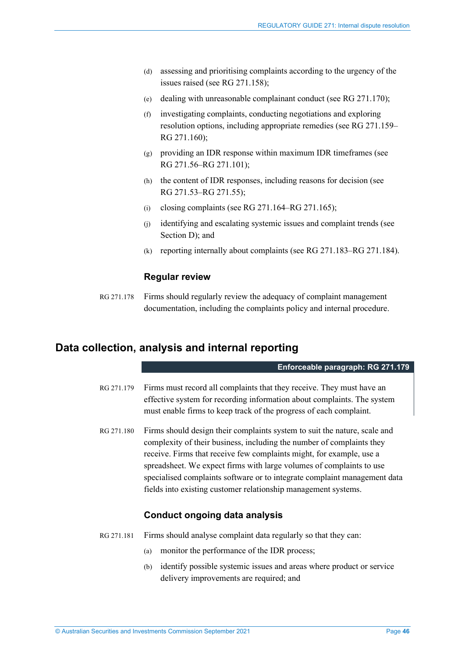- (d) assessing and prioritising complaints according to the urgency of the issues raised (see RG [271.158\)](#page-41-1);
- (e) dealing with unreasonable complainant conduct (see RG [271.170\)](#page-43-1);
- (f) investigating complaints, conducting negotiations and exploring resolution options, including appropriate remedies (see RG [271.159–](#page-41-2) RG [271.160\)](#page-41-3);
- (g) providing an IDR response within maximum IDR timeframes (see RG [271.56–](#page-20-1)RG [271.101\)](#page-30-1);
- (h) the content of IDR responses, including reasons for decision (see RG [271.53–](#page-19-1)RG [271.55\)](#page-19-2);
- (i) closing complaints (see RG [271.164–](#page-42-2)RG [271.165\)](#page-42-1);
- (j) identifying and escalating systemic issues and complaint trends (see Section [D\)](#page-33-0); and
- (k) reporting internally about complaints (see RG [271.183–](#page-46-0)RG [271.184\)](#page-46-1).

#### **Regular review**

RG 271.178 Firms should regularly review the adequacy of complaint management documentation, including the complaints policy and internal procedure.

### <span id="page-45-1"></span><span id="page-45-0"></span>**Data collection, analysis and internal reporting**

|            | Enforceable paragraph: RG 271.179                                                                                                                                                                                                                                                                                                                                                                                                                 |
|------------|---------------------------------------------------------------------------------------------------------------------------------------------------------------------------------------------------------------------------------------------------------------------------------------------------------------------------------------------------------------------------------------------------------------------------------------------------|
| RG 271.179 | Firms must record all complaints that they receive. They must have an<br>effective system for recording information about complaints. The system<br>must enable firms to keep track of the progress of each complaint.                                                                                                                                                                                                                            |
| RG 271.180 | Firms should design their complaints system to suit the nature, scale and<br>complexity of their business, including the number of complaints they<br>receive. Firms that receive few complaints might, for example, use a<br>spreadsheet. We expect firms with large volumes of complaints to use<br>specialised complaints software or to integrate complaint management data<br>fields into existing customer relationship management systems. |
|            | <b>Conduct ongoing data analysis</b>                                                                                                                                                                                                                                                                                                                                                                                                              |
| RG 271.181 | Firms should analyse complaint data regularly so that they can:<br>monitor the performance of the IDR process;<br>(a)                                                                                                                                                                                                                                                                                                                             |

(b) identify possible systemic issues and areas where product or service delivery improvements are required; and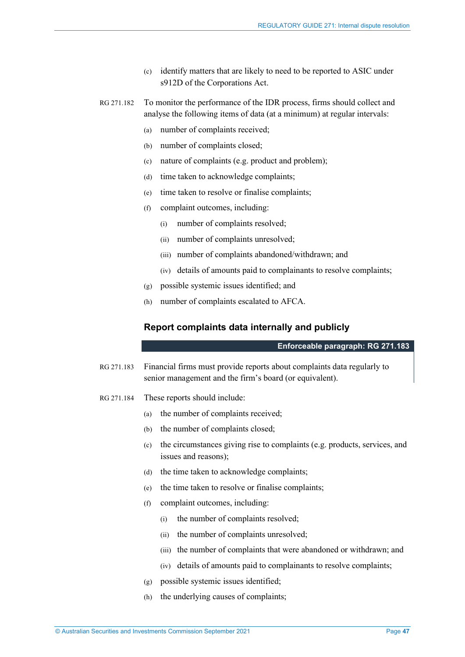- (c) identify matters that are likely to need to be reported to ASIC under s912D of the Corporations Act.
- <span id="page-46-2"></span>RG 271.182 To monitor the performance of the IDR process, firms should collect and analyse the following items of data (at a minimum) at regular intervals:
	- (a) number of complaints received;
	- (b) number of complaints closed;
	- (c) nature of complaints (e.g. product and problem);
	- (d) time taken to acknowledge complaints;
	- (e) time taken to resolve or finalise complaints;
	- (f) complaint outcomes, including:
		- (i) number of complaints resolved;
		- (ii) number of complaints unresolved;
		- (iii) number of complaints abandoned/withdrawn; and
		- (iv) details of amounts paid to complainants to resolve complaints;
	- (g) possible systemic issues identified; and
	- (h) number of complaints escalated to AFCA.

#### **Report complaints data internally and publicly**

#### **Enforceable paragraph: RG [271.183](#page-46-0)**

- <span id="page-46-0"></span>RG 271.183 Financial firms must provide reports about complaints data regularly to senior management and the firm's board (or equivalent).
- <span id="page-46-1"></span>RG 271.184 These reports should include:
	- (a) the number of complaints received;
	- (b) the number of complaints closed;
	- (c) the circumstances giving rise to complaints (e.g. products, services, and issues and reasons);
	- (d) the time taken to acknowledge complaints;
	- (e) the time taken to resolve or finalise complaints;
	- (f) complaint outcomes, including:
		- (i) the number of complaints resolved;
		- (ii) the number of complaints unresolved;
		- (iii) the number of complaints that were abandoned or withdrawn; and
		- (iv) details of amounts paid to complainants to resolve complaints;
	- (g) possible systemic issues identified;
	- (h) the underlying causes of complaints;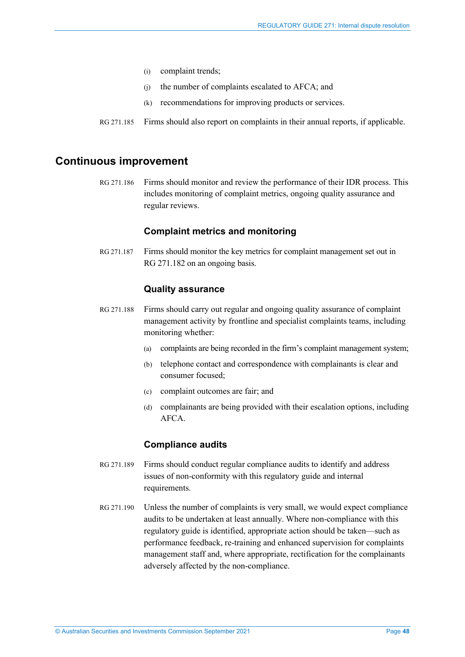- (i) complaint trends;
- (j) the number of complaints escalated to AFCA; and
- (k) recommendations for improving products or services.
- RG 271.185 Firms should also report on complaints in their annual reports, if applicable.

### <span id="page-47-0"></span>**Continuous improvement**

RG 271.186 Firms should monitor and review the performance of their IDR process. This includes monitoring of complaint metrics, ongoing quality assurance and regular reviews.

### **Complaint metrics and monitoring**

RG 271.187 Firms should monitor the key metrics for complaint management set out in RG [271.182](#page-46-2) on an ongoing basis.

### **Quality assurance**

- RG 271.188 Firms should carry out regular and ongoing quality assurance of complaint management activity by frontline and specialist complaints teams, including monitoring whether:
	- (a) complaints are being recorded in the firm's complaint management system;
	- (b) telephone contact and correspondence with complainants is clear and consumer focused;
	- (c) complaint outcomes are fair; and
	- (d) complainants are being provided with their escalation options, including AFCA.

### **Compliance audits**

- RG 271.189 Firms should conduct regular compliance audits to identify and address issues of non-conformity with this regulatory guide and internal requirements.
- RG 271.190 Unless the number of complaints is very small, we would expect compliance audits to be undertaken at least annually. Where non-compliance with this regulatory guide is identified, appropriate action should be taken—such as performance feedback, re-training and enhanced supervision for complaints management staff and, where appropriate, rectification for the complainants adversely affected by the non-compliance.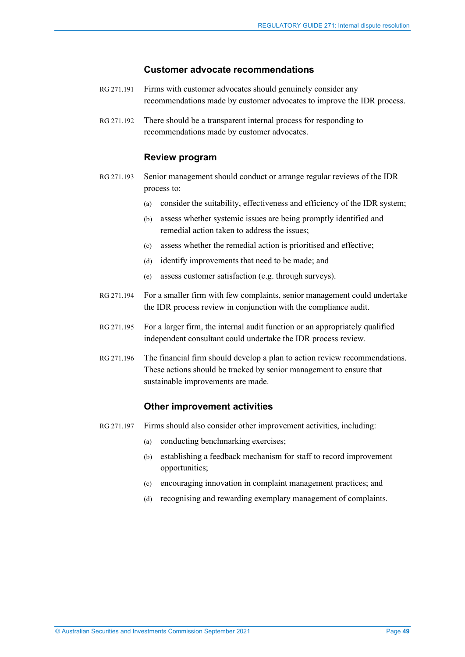### **Customer advocate recommendations**

- <span id="page-48-0"></span>RG 271.191 Firms with customer advocates should genuinely consider any recommendations made by customer advocates to improve the IDR process.
- <span id="page-48-1"></span>RG 271.192 There should be a transparent internal process for responding to recommendations made by customer advocates.

### **Review program**

- RG 271.193 Senior management should conduct or arrange regular reviews of the IDR process to:
	- (a) consider the suitability, effectiveness and efficiency of the IDR system;
	- (b) assess whether systemic issues are being promptly identified and remedial action taken to address the issues;
	- (c) assess whether the remedial action is prioritised and effective;
	- (d) identify improvements that need to be made; and
	- (e) assess customer satisfaction (e.g. through surveys).
- RG 271.194 For a smaller firm with few complaints, senior management could undertake the IDR process review in conjunction with the compliance audit.
- RG 271.195 For a larger firm, the internal audit function or an appropriately qualified independent consultant could undertake the IDR process review.
- RG 271.196 The financial firm should develop a plan to action review recommendations. These actions should be tracked by senior management to ensure that sustainable improvements are made.

### **Other improvement activities**

- RG 271.197 Firms should also consider other improvement activities, including:
	- (a) conducting benchmarking exercises;
	- (b) establishing a feedback mechanism for staff to record improvement opportunities;
	- (c) encouraging innovation in complaint management practices; and
	- (d) recognising and rewarding exemplary management of complaints.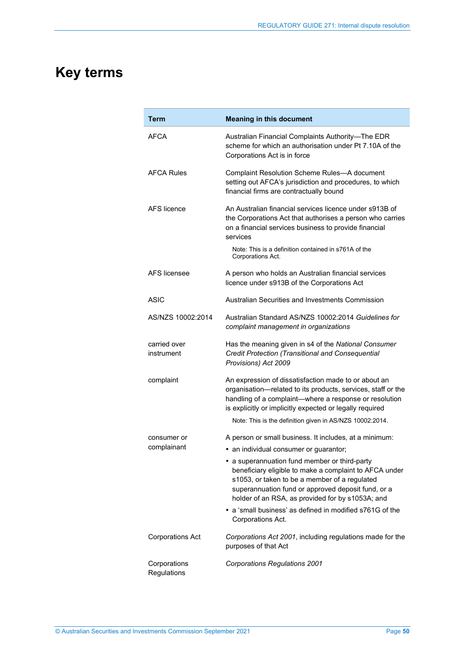# <span id="page-49-0"></span>**Key terms**

| <b>Term</b>                 | <b>Meaning in this document</b>                                                                                                                                                                                                                                                                                                                                        |
|-----------------------------|------------------------------------------------------------------------------------------------------------------------------------------------------------------------------------------------------------------------------------------------------------------------------------------------------------------------------------------------------------------------|
| AFCA                        | Australian Financial Complaints Authority-The EDR<br>scheme for which an authorisation under Pt 7.10A of the<br>Corporations Act is in force                                                                                                                                                                                                                           |
| <b>AFCA Rules</b>           | Complaint Resolution Scheme Rules-A document<br>setting out AFCA's jurisdiction and procedures, to which<br>financial firms are contractually bound                                                                                                                                                                                                                    |
| <b>AFS</b> licence          | An Australian financial services licence under s913B of<br>the Corporations Act that authorises a person who carries<br>on a financial services business to provide financial<br>services                                                                                                                                                                              |
|                             | Note: This is a definition contained in s761A of the<br>Corporations Act.                                                                                                                                                                                                                                                                                              |
| AFS licensee                | A person who holds an Australian financial services<br>licence under s913B of the Corporations Act                                                                                                                                                                                                                                                                     |
| ASIC                        | Australian Securities and Investments Commission                                                                                                                                                                                                                                                                                                                       |
| AS/NZS 10002:2014           | Australian Standard AS/NZS 10002:2014 Guidelines for<br>complaint management in organizations                                                                                                                                                                                                                                                                          |
| carried over<br>instrument  | Has the meaning given in s4 of the National Consumer<br>Credit Protection (Transitional and Consequential<br>Provisions) Act 2009                                                                                                                                                                                                                                      |
| complaint                   | An expression of dissatisfaction made to or about an<br>organisation-related to its products, services, staff or the<br>handling of a complaint-where a response or resolution<br>is explicitly or implicitly expected or legally required                                                                                                                             |
|                             | Note: This is the definition given in AS/NZS 10002:2014.                                                                                                                                                                                                                                                                                                               |
| consumer or<br>complainant  | A person or small business. It includes, at a minimum:                                                                                                                                                                                                                                                                                                                 |
|                             | • an individual consumer or guarantor;<br>a superannuation fund member or third-party<br>beneficiary eligible to make a complaint to AFCA under<br>s1053, or taken to be a member of a regulated<br>superannuation fund or approved deposit fund, or a<br>holder of an RSA, as provided for by s1053A; and<br>• a 'small business' as defined in modified s761G of the |
|                             | Corporations Act.                                                                                                                                                                                                                                                                                                                                                      |
| <b>Corporations Act</b>     | Corporations Act 2001, including regulations made for the<br>purposes of that Act                                                                                                                                                                                                                                                                                      |
| Corporations<br>Regulations | Corporations Regulations 2001                                                                                                                                                                                                                                                                                                                                          |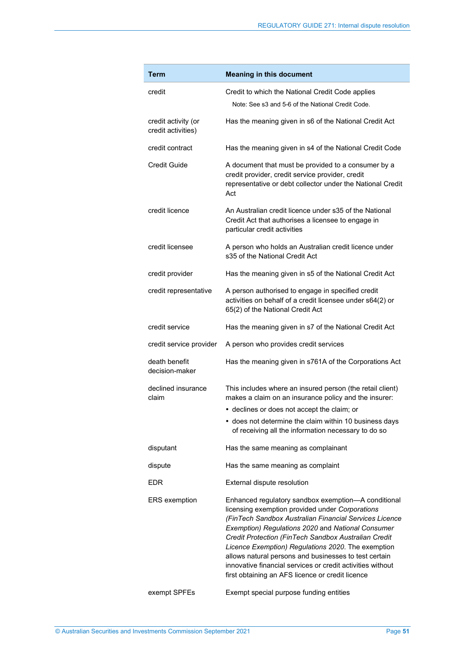| Term                                      | <b>Meaning in this document</b>                                                                                                                                                                                                                                                                                                                                                                                                                                                                                |
|-------------------------------------------|----------------------------------------------------------------------------------------------------------------------------------------------------------------------------------------------------------------------------------------------------------------------------------------------------------------------------------------------------------------------------------------------------------------------------------------------------------------------------------------------------------------|
| credit                                    | Credit to which the National Credit Code applies<br>Note: See s3 and 5-6 of the National Credit Code.                                                                                                                                                                                                                                                                                                                                                                                                          |
| credit activity (or<br>credit activities) | Has the meaning given in s6 of the National Credit Act                                                                                                                                                                                                                                                                                                                                                                                                                                                         |
| credit contract                           | Has the meaning given in s4 of the National Credit Code                                                                                                                                                                                                                                                                                                                                                                                                                                                        |
| Credit Guide                              | A document that must be provided to a consumer by a<br>credit provider, credit service provider, credit<br>representative or debt collector under the National Credit<br>Act                                                                                                                                                                                                                                                                                                                                   |
| credit licence                            | An Australian credit licence under s35 of the National<br>Credit Act that authorises a licensee to engage in<br>particular credit activities                                                                                                                                                                                                                                                                                                                                                                   |
| credit licensee                           | A person who holds an Australian credit licence under<br>s35 of the National Credit Act                                                                                                                                                                                                                                                                                                                                                                                                                        |
| credit provider                           | Has the meaning given in s5 of the National Credit Act                                                                                                                                                                                                                                                                                                                                                                                                                                                         |
| credit representative                     | A person authorised to engage in specified credit<br>activities on behalf of a credit licensee under s64(2) or<br>65(2) of the National Credit Act                                                                                                                                                                                                                                                                                                                                                             |
| credit service                            | Has the meaning given in s7 of the National Credit Act                                                                                                                                                                                                                                                                                                                                                                                                                                                         |
| credit service provider                   | A person who provides credit services                                                                                                                                                                                                                                                                                                                                                                                                                                                                          |
| death benefit<br>decision-maker           | Has the meaning given in s761A of the Corporations Act                                                                                                                                                                                                                                                                                                                                                                                                                                                         |
| declined insurance<br>claim               | This includes where an insured person (the retail client)<br>makes a claim on an insurance policy and the insurer:                                                                                                                                                                                                                                                                                                                                                                                             |
|                                           | • declines or does not accept the claim; or                                                                                                                                                                                                                                                                                                                                                                                                                                                                    |
|                                           | • does not determine the claim within 10 business days<br>of receiving all the information necessary to do so                                                                                                                                                                                                                                                                                                                                                                                                  |
| disputant                                 | Has the same meaning as complainant                                                                                                                                                                                                                                                                                                                                                                                                                                                                            |
| dispute                                   | Has the same meaning as complaint                                                                                                                                                                                                                                                                                                                                                                                                                                                                              |
| <b>EDR</b>                                | External dispute resolution                                                                                                                                                                                                                                                                                                                                                                                                                                                                                    |
| <b>ERS</b> exemption                      | Enhanced regulatory sandbox exemption-A conditional<br>licensing exemption provided under Corporations<br>(FinTech Sandbox Australian Financial Services Licence<br>Exemption) Regulations 2020 and National Consumer<br>Credit Protection (FinTech Sandbox Australian Credit<br>Licence Exemption) Regulations 2020. The exemption<br>allows natural persons and businesses to test certain<br>innovative financial services or credit activities without<br>first obtaining an AFS licence or credit licence |
| exempt SPFEs                              | Exempt special purpose funding entities                                                                                                                                                                                                                                                                                                                                                                                                                                                                        |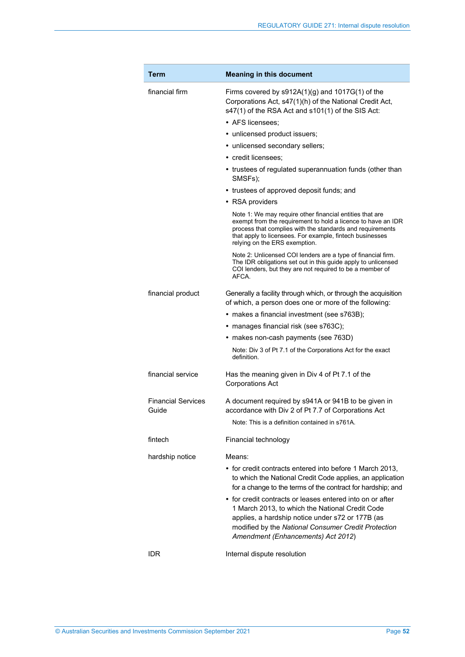| Term                               | <b>Meaning in this document</b>                                                                                                                                                                                                                                                    |
|------------------------------------|------------------------------------------------------------------------------------------------------------------------------------------------------------------------------------------------------------------------------------------------------------------------------------|
| financial firm                     | Firms covered by $s912A(1)(g)$ and $1017G(1)$ of the<br>Corporations Act, s47(1)(h) of the National Credit Act,<br>s47(1) of the RSA Act and s101(1) of the SIS Act:                                                                                                               |
|                                    | • AFS licensees:                                                                                                                                                                                                                                                                   |
|                                    | • unlicensed product issuers;                                                                                                                                                                                                                                                      |
|                                    | • unlicensed secondary sellers;                                                                                                                                                                                                                                                    |
|                                    | • credit licensees;                                                                                                                                                                                                                                                                |
|                                    | • trustees of regulated superannuation funds (other than<br>SMSFs);                                                                                                                                                                                                                |
|                                    | • trustees of approved deposit funds; and                                                                                                                                                                                                                                          |
|                                    | • RSA providers                                                                                                                                                                                                                                                                    |
|                                    | Note 1: We may require other financial entities that are<br>exempt from the requirement to hold a licence to have an IDR<br>process that complies with the standards and requirements<br>that apply to licensees. For example, fintech businesses<br>relying on the ERS exemption. |
|                                    | Note 2: Unlicensed COI lenders are a type of financial firm.<br>The IDR obligations set out in this guide apply to unlicensed<br>COI lenders, but they are not required to be a member of<br>AFCA.                                                                                 |
| financial product                  | Generally a facility through which, or through the acquisition<br>of which, a person does one or more of the following:                                                                                                                                                            |
|                                    | • makes a financial investment (see s763B);                                                                                                                                                                                                                                        |
|                                    | • manages financial risk (see s763C);                                                                                                                                                                                                                                              |
|                                    | • makes non-cash payments (see 763D)                                                                                                                                                                                                                                               |
|                                    | Note: Div 3 of Pt 7.1 of the Corporations Act for the exact<br>definition.                                                                                                                                                                                                         |
| financial service                  | Has the meaning given in Div 4 of Pt 7.1 of the<br><b>Corporations Act</b>                                                                                                                                                                                                         |
| <b>Financial Services</b><br>Guide | A document required by s941A or 941B to be given in<br>accordance with Div 2 of Pt 7.7 of Corporations Act                                                                                                                                                                         |
|                                    | Note: This is a definition contained in s761A.                                                                                                                                                                                                                                     |
| fintech                            | Financial technology                                                                                                                                                                                                                                                               |
| hardship notice                    | Means:                                                                                                                                                                                                                                                                             |
|                                    | • for credit contracts entered into before 1 March 2013,<br>to which the National Credit Code applies, an application<br>for a change to the terms of the contract for hardship; and                                                                                               |
|                                    | • for credit contracts or leases entered into on or after<br>1 March 2013, to which the National Credit Code<br>applies, a hardship notice under s72 or 177B (as<br>modified by the National Consumer Credit Protection<br>Amendment (Enhancements) Act 2012)                      |
| IDR                                | Internal dispute resolution                                                                                                                                                                                                                                                        |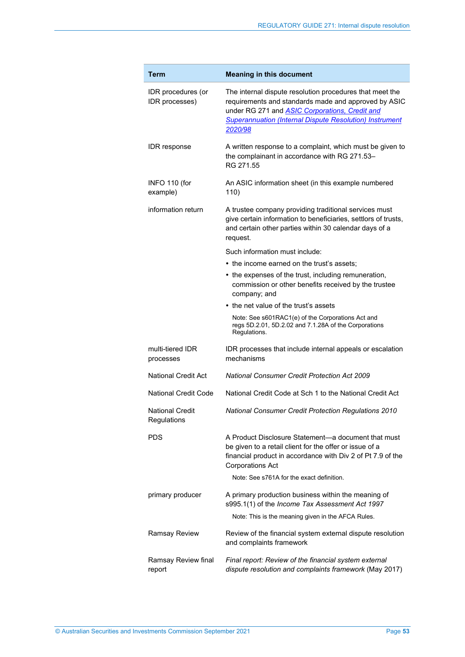| Term                                  | <b>Meaning in this document</b>                                                                                                                                                                                                                                |
|---------------------------------------|----------------------------------------------------------------------------------------------------------------------------------------------------------------------------------------------------------------------------------------------------------------|
| IDR procedures (or<br>IDR processes)  | The internal dispute resolution procedures that meet the<br>requirements and standards made and approved by ASIC<br>under RG 271 and <b>ASIC Corporations</b> , Credit and<br><b>Superannuation (Internal Dispute Resolution) Instrument</b><br><u>2020/98</u> |
| IDR response                          | A written response to a complaint, which must be given to<br>the complainant in accordance with RG 271.53-<br>RG 271.55                                                                                                                                        |
| INFO 110 (for<br>example)             | An ASIC information sheet (in this example numbered<br>110)                                                                                                                                                                                                    |
| information return                    | A trustee company providing traditional services must<br>give certain information to beneficiaries, settlors of trusts,<br>and certain other parties within 30 calendar days of a<br>request.                                                                  |
|                                       | Such information must include:                                                                                                                                                                                                                                 |
|                                       | • the income earned on the trust's assets;                                                                                                                                                                                                                     |
|                                       | • the expenses of the trust, including remuneration,<br>commission or other benefits received by the trustee<br>company; and                                                                                                                                   |
|                                       | • the net value of the trust's assets                                                                                                                                                                                                                          |
|                                       | Note: See s601RAC1(e) of the Corporations Act and<br>regs 5D.2.01, 5D.2.02 and 7.1.28A of the Corporations<br>Regulations.                                                                                                                                     |
| multi-tiered IDR<br>processes         | IDR processes that include internal appeals or escalation<br>mechanisms                                                                                                                                                                                        |
| <b>National Credit Act</b>            | <b>National Consumer Credit Protection Act 2009</b>                                                                                                                                                                                                            |
| <b>National Credit Code</b>           | National Credit Code at Sch 1 to the National Credit Act                                                                                                                                                                                                       |
| <b>National Credit</b><br>Regulations | <b>National Consumer Credit Protection Regulations 2010</b>                                                                                                                                                                                                    |
| <b>PDS</b>                            | A Product Disclosure Statement—a document that must<br>be given to a retail client for the offer or issue of a<br>financial product in accordance with Div 2 of Pt 7.9 of the<br><b>Corporations Act</b>                                                       |
|                                       | Note: See s761A for the exact definition.                                                                                                                                                                                                                      |
| primary producer                      | A primary production business within the meaning of<br>s995.1(1) of the Income Tax Assessment Act 1997                                                                                                                                                         |
|                                       | Note: This is the meaning given in the AFCA Rules.                                                                                                                                                                                                             |
| Ramsay Review                         | Review of the financial system external dispute resolution<br>and complaints framework                                                                                                                                                                         |
| Ramsay Review final<br>report         | Final report: Review of the financial system external<br>dispute resolution and complaints framework (May 2017)                                                                                                                                                |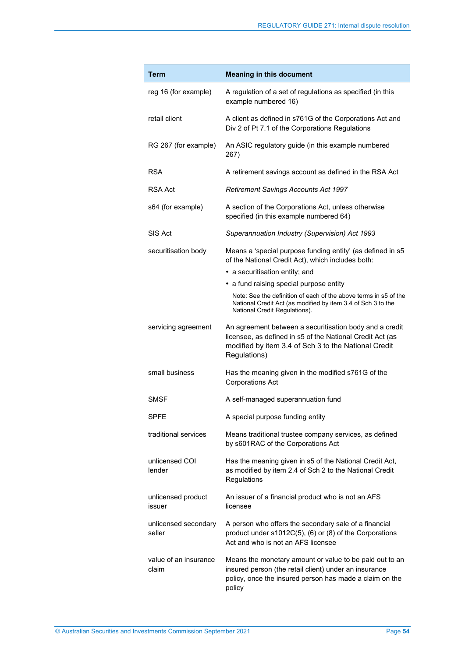| <b>Term</b>                    | <b>Meaning in this document</b>                                                                                                                                                              |
|--------------------------------|----------------------------------------------------------------------------------------------------------------------------------------------------------------------------------------------|
| reg 16 (for example)           | A regulation of a set of regulations as specified (in this<br>example numbered 16)                                                                                                           |
| retail client                  | A client as defined in s761G of the Corporations Act and<br>Div 2 of Pt 7.1 of the Corporations Regulations                                                                                  |
| RG 267 (for example)           | An ASIC regulatory guide (in this example numbered<br>267)                                                                                                                                   |
| <b>RSA</b>                     | A retirement savings account as defined in the RSA Act                                                                                                                                       |
| RSA Act                        | <b>Retirement Savings Accounts Act 1997</b>                                                                                                                                                  |
| s64 (for example)              | A section of the Corporations Act, unless otherwise<br>specified (in this example numbered 64)                                                                                               |
| SIS Act                        | Superannuation Industry (Supervision) Act 1993                                                                                                                                               |
| securitisation body            | Means a 'special purpose funding entity' (as defined in s5<br>of the National Credit Act), which includes both:                                                                              |
|                                | • a securitisation entity; and                                                                                                                                                               |
|                                | • a fund raising special purpose entity                                                                                                                                                      |
|                                | Note: See the definition of each of the above terms in s5 of the<br>National Credit Act (as modified by item 3.4 of Sch 3 to the<br>National Credit Regulations).                            |
| servicing agreement            | An agreement between a securitisation body and a credit<br>licensee, as defined in s5 of the National Credit Act (as<br>modified by item 3.4 of Sch 3 to the National Credit<br>Regulations) |
| small business                 | Has the meaning given in the modified s761G of the<br><b>Corporations Act</b>                                                                                                                |
| SMSF                           | A self-managed superannuation fund                                                                                                                                                           |
| SPFE                           | A special purpose funding entity                                                                                                                                                             |
| traditional services           | Means traditional trustee company services, as defined<br>by s601RAC of the Corporations Act                                                                                                 |
| unlicensed COI<br>lender       | Has the meaning given in s5 of the National Credit Act,<br>as modified by item 2.4 of Sch 2 to the National Credit<br>Regulations                                                            |
| unlicensed product<br>issuer   | An issuer of a financial product who is not an AFS<br>licensee                                                                                                                               |
| unlicensed secondary<br>seller | A person who offers the secondary sale of a financial<br>product under s1012C(5), (6) or (8) of the Corporations<br>Act and who is not an AFS licensee                                       |
| value of an insurance<br>claim | Means the monetary amount or value to be paid out to an<br>insured person (the retail client) under an insurance<br>policy, once the insured person has made a claim on the<br>policy        |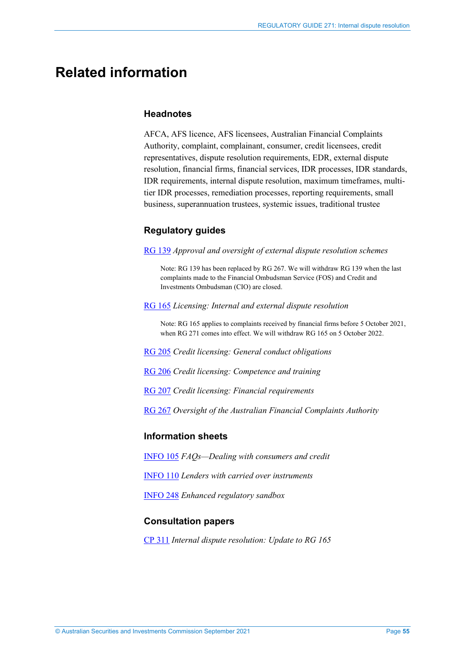## <span id="page-54-0"></span>**Related information**

### **Headnotes**

AFCA, AFS licence, AFS licensees, Australian Financial Complaints Authority, complaint, complainant, consumer, credit licensees, credit representatives, dispute resolution requirements, EDR, external dispute resolution, financial firms, financial services, IDR processes, IDR standards, IDR requirements, internal dispute resolution, maximum timeframes, multitier IDR processes, remediation processes, reporting requirements, small business, superannuation trustees, systemic issues, traditional trustee

### **Regulatory guides**

[RG 139](https://asic.gov.au/regulatory-resources/find-a-document/regulatory-guides/rg-139-approval-and-oversight-of-external-dispute-resolution-schemes/) *Approval and oversight of external dispute resolution schemes* 

Note: RG 139 has been replaced by RG 267. We will withdraw RG 139 when the last complaints made to the Financial Ombudsman Service (FOS) and Credit and Investments Ombudsman (CIO) are closed.

[RG 165](https://asic.gov.au/regulatory-resources/find-a-document/regulatory-guides/rg-165-licensing-internal-and-external-dispute-resolution/) *Licensing: Internal and external dispute resolution*

Note: RG 165 applies to complaints received by financial firms before 5 October 2021, when RG 271 comes into effect. We will withdraw RG 165 on 5 October 2022.

[RG 205](https://asic.gov.au/regulatory-resources/credit/credit-general-conduct-obligations/rg-205-credit-licensing-general-conduct-obligations/) *Credit licensing: General conduct obligations* 

[RG 206](https://asic.gov.au/regulatory-resources/credit/credit-general-conduct-obligations/rg-206-credit-licensing-competence-and-training/) *Credit licensing: Competence and training* 

[RG 207](https://asic.gov.au/regulatory-resources/credit/credit-general-conduct-obligations/rg-207-credit-licensing-financial-requirements/) *Credit licensing: Financial requirements*

[RG 267](https://asic.gov.au/regulatory-resources/find-a-document/regulatory-guides/rg-267-oversight-of-the-australian-financial-complaints-authority/) *Oversight of the Australian Financial Complaints Authority*

### **Information sheets**

[INFO 105](https://asic.gov.au/regulatory-resources/credit/credit-contracts-and-disclosure/faqs-dealing-with-consumers-and-credit/) *FAQs—Dealing with consumers and credit*

[INFO 110](https://asic.gov.au/for-finance-professionals/credit-licensees/your-ongoing-credit-licence-obligations/lenders-with-carried-over-instruments/) *Lenders with carried over instruments*

[INFO 248](https://asic.gov.au/for-business/innovation-hub/enhanced-regulatory-sandbox/info-248-enhanced-regulatory-sandbox) *Enhanced regulatory sandbox*

### **Consultation papers**

[CP 311](https://asic.gov.au/regulatory-resources/find-a-document/consultation-papers/cp-311-internal-dispute-resolution-update-to-rg-165/) *Internal dispute resolution: Update to RG 165*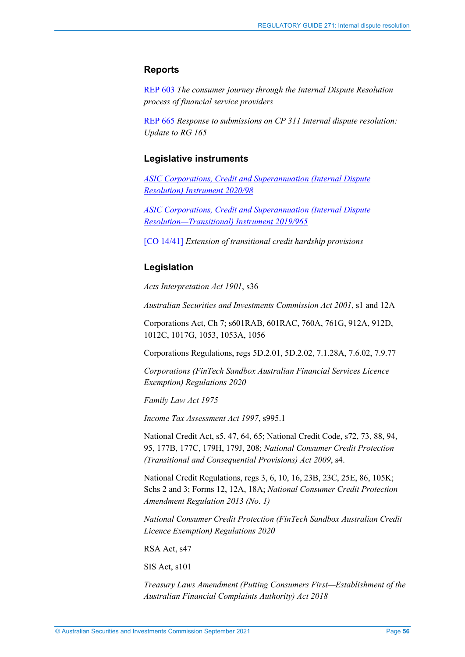### **Reports**

[REP 603](https://asic.gov.au/regulatory-resources/find-a-document/reports/rep-603-the-consumer-journey-through-the-internal-dispute-resolution-process-of-financial-service-providers/) *The consumer journey through the Internal Dispute Resolution process of financial service providers*

[REP 665](https://asic.gov.au/regulatory-resources/find-a-document/reports/rep-665-response-to-submissions-on-cp-311-internal-dispute-resolution-update-to-rg-165/) *Response to submissions on CP 311 Internal dispute resolution: Update to RG 165* 

### **Legislative instruments**

*[ASIC Corporations, Credit and Superannuation \(Internal Dispute](https://www.legislation.gov.au/current/F2020L00962)  [Resolution\) Instrument 2020/98](https://www.legislation.gov.au/current/F2020L00962)*

*[ASIC Corporations, Credit and Superannuation \(Internal Dispute](https://www.legislation.gov.au/current/F2020C00541)  [Resolution—Transitional\) Instrument 2019/965](https://www.legislation.gov.au/current/F2020C00541)*

[\[CO 14/41\]](https://www.legislation.gov.au/current/F2020C00162) *Extension of transitional credit hardship provisions*

### **Legislation**

*Acts Interpretation Act 1901*, s36

*Australian Securities and Investments Commission Act 2001*, s1 and 12A

Corporations Act, Ch 7; s601RAB, 601RAC, 760A, 761G, 912A, 912D, 1012C, 1017G, 1053, 1053A, 1056

Corporations Regulations, regs 5D.2.01, 5D.2.02, 7.1.28A, 7.6.02, 7.9.77

*Corporations (FinTech Sandbox Australian Financial Services Licence Exemption) Regulations 2020* 

*Family Law Act 1975* 

*Income Tax Assessment Act 1997*, s995.1

National Credit Act, s5, 47, 64, 65; National Credit Code, s72, 73, 88, 94, 95, 177B, 177C, 179H, 179J, 208; *National Consumer Credit Protection (Transitional and Consequential Provisions) Act 2009*, s4.

National Credit Regulations, regs 3, 6, 10, 16, 23B, 23C, 25E, 86, 105K; Schs 2 and 3; Forms 12, 12A, 18A; *National Consumer Credit Protection Amendment Regulation 2013 (No. 1)*

*National Consumer Credit Protection (FinTech Sandbox Australian Credit Licence Exemption) Regulations 2020*

RSA Act, s47

SIS Act, s101

*Treasury Laws Amendment (Putting Consumers First—Establishment of the Australian Financial Complaints Authority) Act 2018*